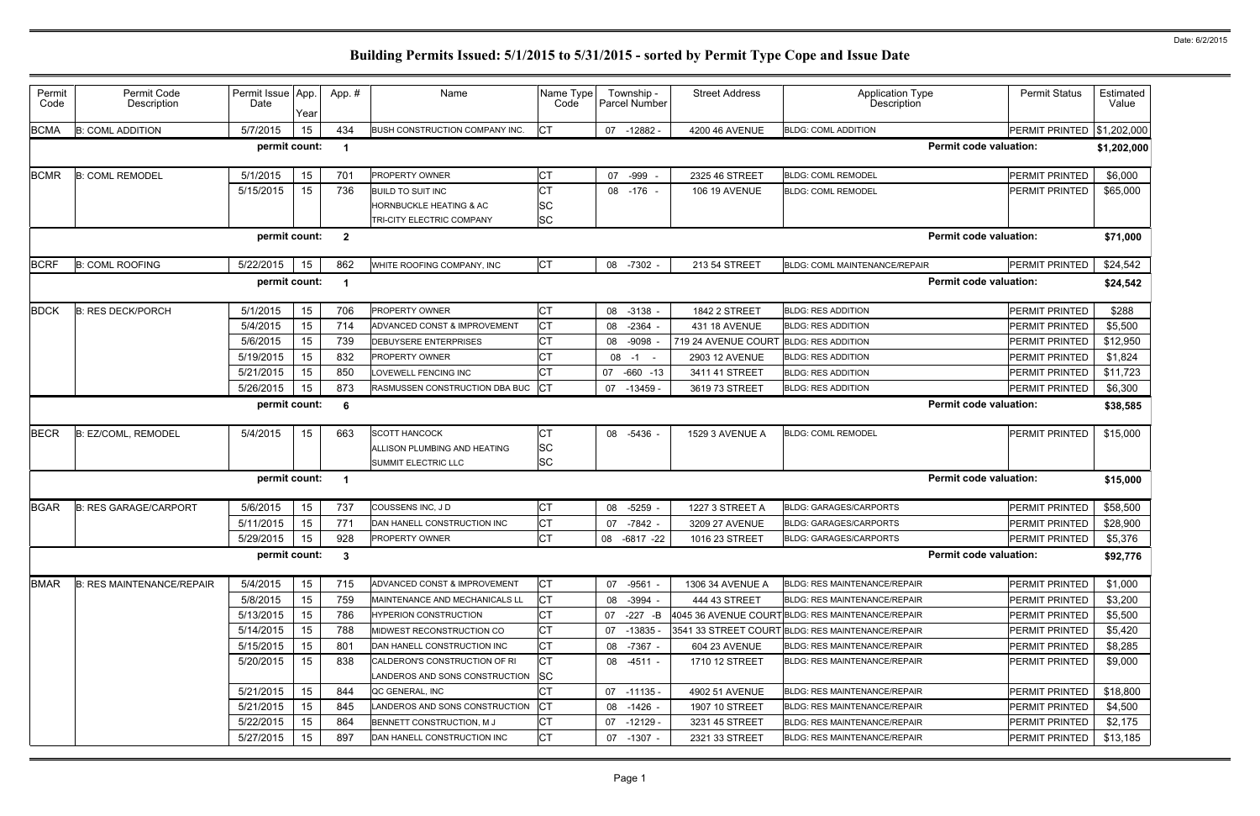| Permit<br>Code | Permit Code<br>Description       | Permit Issue App.<br>Date | Year | App.#        | Name                                  | Name Type<br>Code |    | Township -<br>Parcel Number | <b>Street Address</b> | <b>Application Type</b><br><b>Description</b>     | <b>Permit Status</b>  | Estimated<br>Value |
|----------------|----------------------------------|---------------------------|------|--------------|---------------------------------------|-------------------|----|-----------------------------|-----------------------|---------------------------------------------------|-----------------------|--------------------|
| <b>BCMA</b>    | <b>B: COML ADDITION</b>          | 5/7/2015                  | 15   | 434          | <b>BUSH CONSTRUCTION COMPANY INC.</b> | <b>CT</b>         |    | 07 -12882 -                 | 4200 46 AVENUE        | <b>BLDG: COML ADDITION</b>                        | PERMIT PRINTED        | \$1,202,000        |
|                |                                  | permit count:             |      |              |                                       |                   |    |                             |                       | <b>Permit code valuation:</b>                     |                       | \$1,202,000        |
| <b>BCMR</b>    | <b>B: COML REMODEL</b>           | 5/1/2015                  | 15   | 701          | PROPERTY OWNER                        | СT                |    | 07 -999                     | 2325 46 STREET        | <b>BLDG: COML REMODEL</b>                         | PERMIT PRINTED        | \$6,000            |
|                |                                  | 5/15/2015                 | 15   | 736          | <b>BUILD TO SUIT INC</b>              | <b>CT</b>         |    | 08 - 176 -                  | <b>106 19 AVENUE</b>  | <b>BLDG: COML REMODEL</b>                         | PERMIT PRINTED        | \$65,000           |
|                |                                  |                           |      |              | HORNBUCKLE HEATING & AC               | ΙSC               |    |                             |                       |                                                   |                       |                    |
|                |                                  |                           |      |              | TRI-CITY ELECTRIC COMPANY             | <b>SC</b>         |    |                             |                       |                                                   |                       |                    |
|                |                                  | permit count:             |      | $\mathbf{2}$ |                                       |                   |    |                             |                       | <b>Permit code valuation:</b>                     |                       | \$71,000           |
| <b>BCRF</b>    | <b>B: COML ROOFING</b>           | 5/22/2015                 | 15   | 862          | WHITE ROOFING COMPANY, INC            | <b>CT</b>         |    | 08 -7302 -                  | 213 54 STREET         | <b>BLDG: COML MAINTENANCE/REPAIR</b>              | PERMIT PRINTED        | \$24,542           |
|                |                                  | permit count:             |      |              |                                       |                   |    |                             |                       | <b>Permit code valuation:</b>                     |                       | \$24,542           |
| <b>BDCK</b>    | <b>B: RES DECK/PORCH</b>         | 5/1/2015                  | 15   | 706          | PROPERTY OWNER                        | <b>CT</b>         | 08 | $-3138 -$                   | <b>1842 2 STREET</b>  | <b>BLDG: RES ADDITION</b>                         | PERMIT PRINTED        | \$288              |
|                |                                  | 5/4/2015                  | 15   | 714          | ADVANCED CONST & IMPROVEMENT          | <b>CT</b>         | 08 | $-2364$                     | 431 18 AVENUE         | <b>BLDG: RES ADDITION</b>                         | PERMIT PRINTED        | \$5,500            |
|                |                                  | 5/6/2015                  | 15   | 739          | DEBUYSERE ENTERPRISES                 | <b>CT</b>         | 08 | -9098                       | 719 24 AVENUE COURT   | <b>BLDG: RES ADDITION</b>                         | PERMIT PRINTED        | \$12,950           |
|                |                                  | 5/19/2015                 | 15   | 832          | PROPERTY OWNER                        | <b>CT</b>         | 08 | $-1$                        | 2903 12 AVENUE        | <b>BLDG: RES ADDITION</b>                         | PERMIT PRINTED        | \$1,824            |
|                |                                  | 5/21/2015                 | 15   | 850          | LOVEWELL FENCING INC                  | CТ                | 07 | $-660 - 13$                 | 3411 41 STREET        | <b>BLDG: RES ADDITION</b>                         | PERMIT PRINTED        | \$11,723           |
|                |                                  | 5/26/2015                 | 15   | 873          | RASMUSSEN CONSTRUCTION DBA BUC        | <b>ICT</b>        | 07 | $-13459$ -                  | 3619 73 STREET        | <b>BLDG: RES ADDITION</b>                         | PERMIT PRINTED        | \$6,300            |
|                |                                  | permit count:             |      | 6            |                                       |                   |    |                             |                       | <b>Permit code valuation:</b>                     |                       | \$38,585           |
| <b>BECR</b>    | B: EZ/COML, REMODEL              | 5/4/2015                  | 15   | 663          | <b>SCOTT HANCOCK</b>                  | <b>CT</b>         |    | 08 -5436                    | 1529 3 AVENUE A       | <b>BLDG: COML REMODEL</b>                         | PERMIT PRINTED        | \$15,000           |
|                |                                  |                           |      |              | ALLISON PLUMBING AND HEATING          | <b>SC</b>         |    |                             |                       |                                                   |                       |                    |
|                |                                  |                           |      |              | SUMMIT ELECTRIC LLC                   | <b>SC</b>         |    |                             |                       |                                                   |                       |                    |
|                |                                  | permit count:             |      |              |                                       |                   |    |                             |                       | <b>Permit code valuation:</b>                     |                       | \$15,000           |
| <b>BGAR</b>    | <b>B: RES GARAGE/CARPORT</b>     | 5/6/2015                  | 15   | 737          | COUSSENS INC, JD                      | <b>CT</b>         |    | 08 -5259                    | 1227 3 STREET A       | <b>BLDG: GARAGES/CARPORTS</b>                     | PERMIT PRINTED        | \$58,500           |
|                |                                  | 5/11/2015                 | 15   | 771          | DAN HANELL CONSTRUCTION INC           | <b>CT</b>         |    | 07 -7842                    | 3209 27 AVENUE        | <b>BLDG: GARAGES/CARPORTS</b>                     | <b>PERMIT PRINTED</b> | \$28,900           |
|                |                                  | 5/29/2015                 | 15   | 928          | PROPERTY OWNER                        | <b>CT</b>         | 08 | $-6817 -22$                 | 1016 23 STREET        | <b>BLDG: GARAGES/CARPORTS</b>                     | PERMIT PRINTED        | \$5,376            |
|                |                                  | permit count:             |      | -3           |                                       |                   |    |                             |                       | <b>Permit code valuation:</b>                     |                       | \$92,776           |
| <b>BMAR</b>    | <b>B: RES MAINTENANCE/REPAIR</b> | 5/4/2015                  | 15   | 715          | ADVANCED CONST & IMPROVEMENT          | <b>CT</b>         |    | 07 -9561                    | 1306 34 AVENUE A      | <b>BLDG: RES MAINTENANCE/REPAIR</b>               | PERMIT PRINTED        | \$1,000            |
|                |                                  | 5/8/2015                  | 15   | 759          | MAINTENANCE AND MECHANICALS LL        | <b>CT</b>         |    | 08 -3994 -                  | 444 43 STREET         | BLDG: RES MAINTENANCE/REPAIR                      | PERMIT PRINTED        | \$3,200            |
|                |                                  | 5/13/2015                 | 15   | 786          | <b>HYPERION CONSTRUCTION</b>          | <b>CT</b>         |    | 07 -227 -B                  |                       | 4045 36 AVENUE COURT BLDG: RES MAINTENANCE/REPAIR | PERMIT PRINTED        | \$5,500            |
|                |                                  | 5/14/2015                 | 15   | 788          | MIDWEST RECONSTRUCTION CO             | <b>CT</b>         | 07 | $-13835$                    |                       | 3541 33 STREET COURT BLDG: RES MAINTENANCE/REPAIR | PERMIT PRINTED        | \$5,420            |
|                |                                  | 5/15/2015                 | 15   | 801          | DAN HANELL CONSTRUCTION INC           | <b>CT</b>         |    | 08 -7367 -                  | 604 23 AVENUE         | <b>BLDG: RES MAINTENANCE/REPAIR</b>               | PERMIT PRINTED        | \$8,285            |
|                |                                  | 5/20/2015                 | 15   | 838          | CALDERON'S CONSTRUCTION OF RI         | <b>CT</b>         |    | 08 -4511 -                  | 1710 12 STREET        | <b>BLDG: RES MAINTENANCE/REPAIR</b>               | PERMIT PRINTED        | \$9,000            |
|                |                                  |                           |      |              | LANDEROS AND SONS CONSTRUCTION        | <b>SC</b>         |    |                             |                       |                                                   |                       |                    |
|                |                                  | 5/21/2015                 | 15   | 844          | QC GENERAL, INC                       | <b>CT</b>         |    | 07 -11135 -                 | 4902 51 AVENUE        | <b>BLDG: RES MAINTENANCE/REPAIR</b>               | PERMIT PRINTED        | \$18,800           |
|                |                                  | 5/21/2015                 | 15   | 845          | LANDEROS AND SONS CONSTRUCTION        | CT                |    | 08 -1426 -                  | 1907 10 STREET        | <b>BLDG: RES MAINTENANCE/REPAIR</b>               | PERMIT PRINTED        | \$4,500            |
|                |                                  | 5/22/2015                 | 15   | 864          | BENNETT CONSTRUCTION, M J             | <b>CT</b>         |    | 07 -12129 -                 | 3231 45 STREET        | <b>BLDG: RES MAINTENANCE/REPAIR</b>               | PERMIT PRINTED        | \$2,175            |
|                |                                  | 5/27/2015                 | 15   | 897          | DAN HANELL CONSTRUCTION INC           | <b>CT</b>         |    | 07 -1307 -                  | 2321 33 STREET        | <b>BLDG: RES MAINTENANCE/REPAIR</b>               | PERMIT PRINTED        | \$13,185           |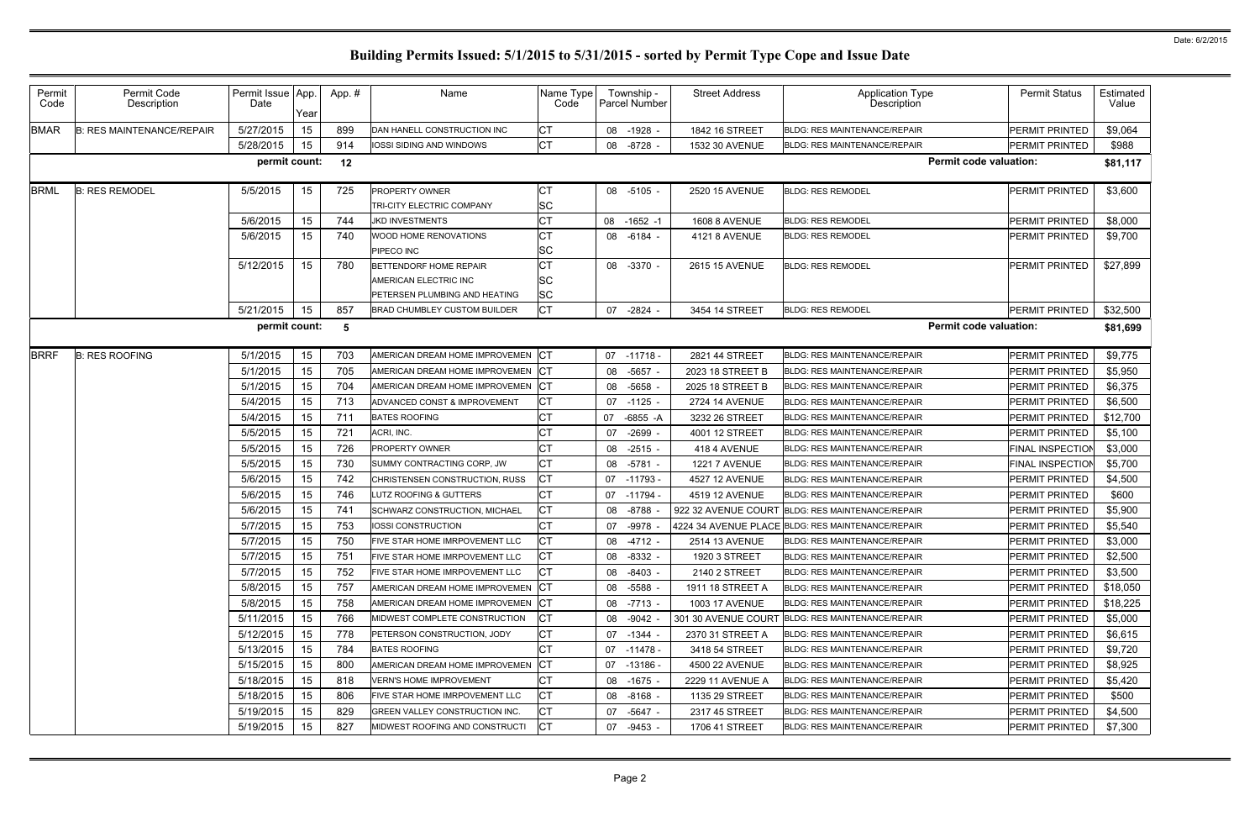| Permit<br>Code | Permit Code<br>Description       | Permit Issue App.<br>Date | Year | App.#           | Name                                                                             | Name Type<br>Code                   |    | Township -<br>Parcel Number | <b>Street Address</b> | <b>Application Type</b><br>Description            | <b>Permit Status</b>    | Estimated<br>Value |
|----------------|----------------------------------|---------------------------|------|-----------------|----------------------------------------------------------------------------------|-------------------------------------|----|-----------------------------|-----------------------|---------------------------------------------------|-------------------------|--------------------|
| <b>BMAR</b>    | <b>B: RES MAINTENANCE/REPAIR</b> | 5/27/2015                 | 15   | 899             | DAN HANELL CONSTRUCTION INC                                                      | <b>CT</b>                           | 08 | $-1928$                     | 1842 16 STREET        | <b>BLDG: RES MAINTENANCE/REPAIR</b>               | PERMIT PRINTED          | \$9,064            |
|                |                                  | 5/28/2015                 | 15   | 914             | IOSSI SIDING AND WINDOWS                                                         | <b>CT</b>                           |    | 08 -8728 -                  | 1532 30 AVENUE        | <b>BLDG: RES MAINTENANCE/REPAIR</b>               | PERMIT PRINTED          | \$988              |
|                |                                  | permit count:             |      | 12              |                                                                                  |                                     |    |                             |                       | <b>Permit code valuation:</b>                     |                         | \$81,117           |
| <b>BRML</b>    | <b>B: RES REMODEL</b>            | 5/5/2015                  | 15   | 725             | PROPERTY OWNER<br>TRI-CITY ELECTRIC COMPANY                                      | <b>CT</b><br><b>SC</b>              |    | 08 -5105 -                  | 2520 15 AVENUE        | <b>BLDG: RES REMODEL</b>                          | PERMIT PRINTED          | \$3,600            |
|                |                                  | 5/6/2015                  | 15   | 744             | <b>JKD INVESTMENTS</b>                                                           | <b>CT</b>                           |    | 08 -1652 -1                 | <b>1608 8 AVENUE</b>  | <b>BLDG: RES REMODEL</b>                          | PERMIT PRINTED          | \$8,000            |
|                |                                  | 5/6/2015                  | 15   | 740             | WOOD HOME RENOVATIONS<br>PIPECO INC                                              | <b>CT</b><br><b>SC</b>              |    | 08 -6184 -                  | 4121 8 AVENUE         | <b>BLDG: RES REMODEL</b>                          | PERMIT PRINTED          | \$9,700            |
|                |                                  | 5/12/2015                 | 15   | 780             | BETTENDORF HOME REPAIR<br>AMERICAN ELECTRIC INC<br>PETERSEN PLUMBING AND HEATING | <b>CT</b><br><b>SC</b><br><b>SC</b> |    | 08 -3370 -                  | 2615 15 AVENUE        | <b>BLDG: RES REMODEL</b>                          | PERMIT PRINTED          | \$27,899           |
|                |                                  | 5/21/2015                 | 15   | 857             | BRAD CHUMBLEY CUSTOM BUILDER                                                     | <b>CT</b>                           | 07 | -2824 -                     | 3454 14 STREET        | <b>BLDG: RES REMODEL</b>                          | PERMIT PRINTED          | \$32,500           |
|                |                                  | permit count:             |      | $5\phantom{.0}$ |                                                                                  |                                     |    |                             |                       | <b>Permit code valuation:</b>                     |                         | \$81,699           |
| <b>BRRF</b>    | <b>B: RES ROOFING</b>            | 5/1/2015                  | 15   | 703             | AMERICAN DREAM HOME IMPROVEMEN CT                                                |                                     |    | $07 - 11718 -$              | 2821 44 STREET        | <b>BLDG: RES MAINTENANCE/REPAIR</b>               | PERMIT PRINTED          | \$9,775            |
|                |                                  | 5/1/2015                  | 15   | 705             | AMERICAN DREAM HOME IMPROVEMEN                                                   | CT                                  | 08 | $-5657$ .                   | 2023 18 STREET B      | <b>BLDG: RES MAINTENANCE/REPAIR</b>               | PERMIT PRINTED          | \$5,950            |
|                |                                  | 5/1/2015                  | 15   | 704             | AMERICAN DREAM HOME IMPROVEMEN                                                   | CT                                  |    | 08 -5658                    | 2025 18 STREET B      | <b>BLDG: RES MAINTENANCE/REPAIR</b>               | PERMIT PRINTED          | \$6,375            |
|                |                                  | 5/4/2015                  | 15   | 713             | ADVANCED CONST & IMPROVEMENT                                                     | <b>CT</b>                           |    | 07 -1125 -                  | <b>2724 14 AVENUE</b> | <b>BLDG: RES MAINTENANCE/REPAIR</b>               | PERMIT PRINTED          | \$6,500            |
|                |                                  | 5/4/2015                  | 15   | 711             | <b>BATES ROOFING</b>                                                             | <b>CT</b>                           |    | 07 -6855 -A                 | 3232 26 STREET        | <b>BLDG: RES MAINTENANCE/REPAIR</b>               | PERMIT PRINTED          | \$12,700           |
|                |                                  | 5/5/2015                  | 15   | 721             | ACRI, INC.                                                                       | <b>CT</b>                           | 07 | -2699 -                     | 4001 12 STREET        | <b>BLDG: RES MAINTENANCE/REPAIR</b>               | PERMIT PRINTED          | \$5,100            |
|                |                                  | 5/5/2015                  | 15   | 726             | PROPERTY OWNER                                                                   | <b>CT</b>                           |    | 08 -2515 -                  | 418 4 AVENUE          | <b>BLDG: RES MAINTENANCE/REPAIR</b>               | <b>FINAL INSPECTION</b> | \$3,000            |
|                |                                  | 5/5/2015                  | 15   | 730             | SUMMY CONTRACTING CORP, JW                                                       | <b>CT</b>                           | 08 | -5781                       | <b>1221 7 AVENUE</b>  | <b>BLDG: RES MAINTENANCE/REPAIR</b>               | FINAL INSPECTION        | \$5,700            |
|                |                                  | 5/6/2015                  | 15   | 742             | CHRISTENSEN CONSTRUCTION, RUSS                                                   | <b>CT</b>                           |    | 07 -11793 -                 | 4527 12 AVENUE        | <b>BLDG: RES MAINTENANCE/REPAIR</b>               | PERMIT PRINTED          | \$4,500            |
|                |                                  | 5/6/2015                  | 15   | 746             | <b>UTZ ROOFING &amp; GUTTERS</b>                                                 | <b>CT</b>                           |    | 07 -11794                   | 4519 12 AVENUE        | <b>BLDG: RES MAINTENANCE/REPAIR</b>               | PERMIT PRINTED          | \$600              |
|                |                                  | 5/6/2015                  | 15   | 741             | <b>SCHWARZ CONSTRUCTION, MICHAEL</b>                                             | <b>CT</b>                           |    | 08 -8788                    | 922 32 AVENUE COURT   | <b>BLDG: RES MAINTENANCE/REPAIR</b>               | PERMIT PRINTED          | \$5,900            |
|                |                                  | 5/7/2015                  | 15   | 753             | IOSSI CONSTRUCTION                                                               | <b>CT</b>                           | 07 | $-9978$ .                   |                       | 4224 34 AVENUE PLACE BLDG: RES MAINTENANCE/REPAIR | PERMIT PRINTED          | \$5,540            |
|                |                                  | 5/7/2015                  | 15   | 750             | FIVE STAR HOME IMRPOVEMENT LLC                                                   | <b>CT</b>                           |    | 08 -4712                    | 2514 13 AVENUE        | BLDG: RES MAINTENANCE/REPAIR                      | PERMIT PRINTED          | \$3,000            |
|                |                                  | 5/7/2015                  | 15   | 751             | FIVE STAR HOME IMRPOVEMENT LLC                                                   | <b>CT</b>                           |    | 08 -8332 -                  | 1920 3 STREET         | <b>BLDG: RES MAINTENANCE/REPAIR</b>               | PERMIT PRINTED          | \$2,500            |
|                |                                  | 5/7/2015                  | 15   | 752             | FIVE STAR HOME IMRPOVEMENT LLC                                                   | <b>CT</b>                           |    | 08 -8403 -                  | 2140 2 STREET         | <b>BLDG: RES MAINTENANCE/REPAIR</b>               | PERMIT PRINTED          | \$3,500            |
|                |                                  | 5/8/2015                  | 15   | 757             | AMERICAN DREAM HOME IMPROVEMEN CT                                                |                                     |    | 08 -5588 -                  | 1911 18 STREET A      | <b>BLDG: RES MAINTENANCE/REPAIR</b>               | PERMIT PRINTED          | \$18,050           |
|                |                                  | 5/8/2015                  | 15   | 758             | AMERICAN DREAM HOME IMPROVEMEN CT                                                |                                     |    | 08 -7713 -                  | <b>1003 17 AVENUE</b> | <b>BLDG: RES MAINTENANCE/REPAIR</b>               | PERMIT PRINTED          | \$18,225           |
|                |                                  | 5/11/2015                 | 15   | 766             | MIDWEST COMPLETE CONSTRUCTION                                                    | <b>ICT</b>                          |    | 08 -9042 -                  |                       | 301 30 AVENUE COURT BLDG: RES MAINTENANCE/REPAIR  | PERMIT PRINTED          | \$5,000            |
|                |                                  | 5/12/2015                 | 15   | 778             | PETERSON CONSTRUCTION, JODY                                                      | <b>CT</b>                           |    | 07 -1344 -                  | 2370 31 STREET A      | BLDG: RES MAINTENANCE/REPAIR                      | PERMIT PRINTED          | \$6,615            |
|                |                                  | 5/13/2015                 | 15   | 784             | <b>BATES ROOFING</b>                                                             | <b>CT</b>                           |    | 07 -11478 -                 | 3418 54 STREET        | BLDG: RES MAINTENANCE/REPAIR                      | PERMIT PRINTED          | \$9,720            |
|                |                                  | 5/15/2015                 | 15   | 800             | AMERICAN DREAM HOME IMPROVEMEN                                                   | C                                   |    | 07 -13186 -                 | 4500 22 AVENUE        | BLDG: RES MAINTENANCE/REPAIR                      | PERMIT PRINTED          | \$8,925            |
|                |                                  | 5/18/2015                 | 15   | 818             | <b>VERN'S HOME IMPROVEMENT</b>                                                   | <b>CT</b>                           |    | 08 -1675 -                  | 2229 11 AVENUE A      | BLDG: RES MAINTENANCE/REPAIR                      | PERMIT PRINTED          | \$5,420            |
|                |                                  | 5/18/2015                 | 15   | 806             | FIVE STAR HOME IMRPOVEMENT LLC                                                   | <b>CT</b>                           |    | 08 -8168 -                  | 1135 29 STREET        | <b>BLDG: RES MAINTENANCE/REPAIR</b>               | PERMIT PRINTED          | \$500              |
|                |                                  | 5/19/2015                 | 15   | 829             | GREEN VALLEY CONSTRUCTION INC.                                                   | <b>CT</b>                           |    | 07 -5647 -                  | 2317 45 STREET        | BLDG: RES MAINTENANCE/REPAIR                      | PERMIT PRINTED          | \$4,500            |
|                |                                  | 5/19/2015                 | 15   | 827             | MIDWEST ROOFING AND CONSTRUCTI                                                   | <b>CT</b>                           |    | 07 -9453 -                  | 1706 41 STREET        | <b>BLDG: RES MAINTENANCE/REPAIR</b>               | PERMIT PRINTED          | \$7,300            |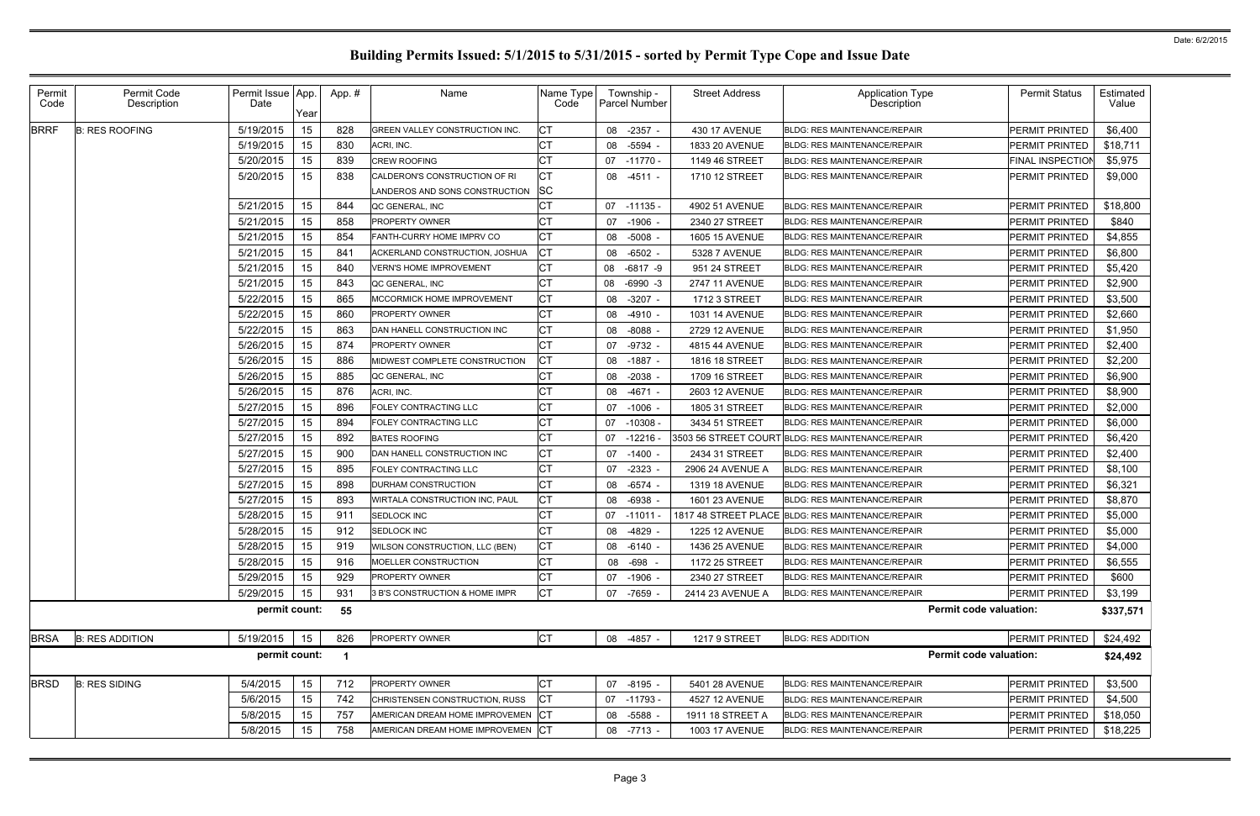| Permit<br>Code | Permit Code<br>Description | Permit Issue App.<br>Date | Year | App. # | Name                                  | Name Type<br>Code |    | Township -<br><b>Parcel Number</b> | <b>Street Address</b> | <b>Application Type</b><br>Description            | <b>Permit Status</b>    | Estimated<br>Value |
|----------------|----------------------------|---------------------------|------|--------|---------------------------------------|-------------------|----|------------------------------------|-----------------------|---------------------------------------------------|-------------------------|--------------------|
| <b>BRRF</b>    | <b>B: RES ROOFING</b>      | 5/19/2015                 | 15   | 828    | <b>GREEN VALLEY CONSTRUCTION INC.</b> | <b>CT</b>         |    | 08 -2357                           | 430 17 AVENUE         | <b>BLDG: RES MAINTENANCE/REPAIR</b>               | <b>PERMIT PRINTED</b>   | \$6,400            |
|                |                            | 5/19/2015                 | 15   | 830    | ACRI, INC.                            | СT                |    | 08 -5594                           | 1833 20 AVENUE        | <b>BLDG: RES MAINTENANCE/REPAIR</b>               | PERMIT PRINTED          | \$18,711           |
|                |                            | 5/20/2015                 | 15   | 839    | <b>CREW ROOFING</b>                   | <b>CT</b>         |    | 07 -11770 -                        | 1149 46 STREET        | <b>BLDG: RES MAINTENANCE/REPAIR</b>               | <b>FINAL INSPECTION</b> | \$5,975            |
|                |                            | 5/20/2015                 | 15   | 838    | CALDERON'S CONSTRUCTION OF RI         | Iст               |    | 08 -4511 -                         | 1710 12 STREET        | <b>BLDG: RES MAINTENANCE/REPAIR</b>               | <b>PERMIT PRINTED</b>   | \$9,000            |
|                |                            |                           |      |        | LANDEROS AND SONS CONSTRUCTION        | <b>SC</b>         |    |                                    |                       |                                                   |                         |                    |
|                |                            | 5/21/2015                 | 15   | 844    | QC GENERAL, INC                       | СT                |    | 07 -11135 -                        | 4902 51 AVENUE        | <b>BLDG: RES MAINTENANCE/REPAIR</b>               | <b>PERMIT PRINTED</b>   | \$18,800           |
|                |                            | 5/21/2015                 | 15   | 858    | <b>PROPERTY OWNER</b>                 | СT                |    | 07 -1906                           | 2340 27 STREET        | <b>BLDG: RES MAINTENANCE/REPAIR</b>               | <b>PERMIT PRINTED</b>   | \$840              |
|                |                            | 5/21/2015                 | 15   | 854    | FANTH-CURRY HOME IMPRV CO             | СT                |    | 08 -5008                           | 1605 15 AVENUE        | <b>BLDG: RES MAINTENANCE/REPAIR</b>               | <b>PERMIT PRINTED</b>   | \$4,855            |
|                |                            | 5/21/2015                 | 15   | 841    | ACKERLAND CONSTRUCTION, JOSHUA        | <b>ICT</b>        |    | 08 -6502                           | 5328 7 AVENUE         | <b>BLDG: RES MAINTENANCE/REPAIR</b>               | <b>PERMIT PRINTED</b>   | \$6,800            |
|                |                            | 5/21/2015                 | 15   | 840    | <b>VERN'S HOME IMPROVEMENT</b>        | Iст               |    | 08 -6817 -9                        | 951 24 STREET         | <b>BLDG: RES MAINTENANCE/REPAIR</b>               | <b>PERMIT PRINTED</b>   | \$5,420            |
|                |                            | 5/21/2015                 | 15   | 843    | QC GENERAL, INC                       | <b>CT</b>         | 08 | -6990 -3                           | 2747 11 AVENUE        | <b>BLDG: RES MAINTENANCE/REPAIR</b>               | <b>PERMIT PRINTED</b>   | \$2,900            |
|                |                            | 5/22/2015                 | 15   | 865    | <b>MCCORMICK HOME IMPROVEMENT</b>     | <b>CT</b>         |    | 08 -3207                           | 1712 3 STREET         | <b>BLDG: RES MAINTENANCE/REPAIR</b>               | <b>PERMIT PRINTED</b>   | \$3,500            |
|                |                            | 5/22/2015                 | 15   | 860    | <b>PROPERTY OWNER</b>                 | <b>CT</b>         |    | 08 -4910 -                         | 1031 14 AVENUE        | <b>BLDG: RES MAINTENANCE/REPAIR</b>               | <b>PERMIT PRINTED</b>   | \$2,660            |
|                |                            | 5/22/2015                 | 15   | 863    | DAN HANELL CONSTRUCTION INC           | <b>CT</b>         |    | 08 -8088                           | 2729 12 AVENUE        | <b>BLDG: RES MAINTENANCE/REPAIR</b>               | <b>PERMIT PRINTED</b>   | \$1,950            |
|                |                            | 5/26/2015                 | 15   | 874    | <b>PROPERTY OWNER</b>                 | <b>CT</b>         |    | 07 -9732                           | 4815 44 AVENUE        | <b>BLDG: RES MAINTENANCE/REPAIR</b>               | <b>PERMIT PRINTED</b>   | \$2,400            |
|                |                            | 5/26/2015                 | 15   | 886    | MIDWEST COMPLETE CONSTRUCTION         | Iст               |    | 08 -1887                           | 1816 18 STREET        | <b>BLDG: RES MAINTENANCE/REPAIR</b>               | <b>PERMIT PRINTED</b>   | \$2,200            |
|                |                            | 5/26/2015                 | 15   | 885    | QC GENERAL, INC                       | <b>CT</b>         |    | 08 -2038                           | 1709 16 STREET        | <b>BLDG: RES MAINTENANCE/REPAIR</b>               | <b>PERMIT PRINTED</b>   | \$6,900            |
|                |                            | 5/26/2015                 | 15   | 876    | ACRI, INC.                            | <b>CT</b>         |    | 08 -4671                           | 2603 12 AVENUE        | <b>BLDG: RES MAINTENANCE/REPAIR</b>               | <b>PERMIT PRINTED</b>   | \$8,900            |
|                |                            | 5/27/2015                 | 15   | 896    | FOLEY CONTRACTING LLC                 | <b>CT</b>         |    | 07 -1006                           | 1805 31 STREET        | <b>BLDG: RES MAINTENANCE/REPAIR</b>               | <b>PERMIT PRINTED</b>   | \$2,000            |
|                |                            | 5/27/2015                 | 15   | 894    | <b>FOLEY CONTRACTING LLC</b>          | СT                |    | 07 -10308                          | 3434 51 STREET        | <b>BLDG: RES MAINTENANCE/REPAIR</b>               | <b>PERMIT PRINTED</b>   | \$6,000            |
|                |                            | 5/27/2015                 | 15   | 892    | <b>BATES ROOFING</b>                  | <b>CT</b>         | 07 | -12216                             |                       | 3503 56 STREET COURT BLDG: RES MAINTENANCE/REPAIR | <b>PERMIT PRINTED</b>   | \$6,420            |
|                |                            | 5/27/2015                 | 15   | 900    | DAN HANELL CONSTRUCTION INC           | СT                |    | 07 -1400 -                         | 2434 31 STREET        | <b>BLDG: RES MAINTENANCE/REPAIR</b>               | <b>PERMIT PRINTED</b>   | \$2,400            |
|                |                            | 5/27/2015                 | 15   | 895    | <b>FOLEY CONTRACTING LLC</b>          | <b>CT</b>         | 07 | -2323                              | 2906 24 AVENUE A      | <b>BLDG: RES MAINTENANCE/REPAIR</b>               | <b>PERMIT PRINTED</b>   | \$8,100            |
|                |                            | 5/27/2015                 | 15   | 898    | <b>DURHAM CONSTRUCTION</b>            | СT                |    | 08 -6574                           | 1319 18 AVENUE        | <b>BLDG: RES MAINTENANCE/REPAIR</b>               | <b>PERMIT PRINTED</b>   | \$6,321            |
|                |                            | 5/27/2015                 | 15   | 893    | WIRTALA CONSTRUCTION INC, PAUL        | <b>CT</b>         |    | 08 -6938                           | <b>1601 23 AVENUE</b> | <b>BLDG: RES MAINTENANCE/REPAIR</b>               | <b>PERMIT PRINTED</b>   | \$8,870            |
|                |                            | 5/28/2015                 | 15   | 911    | SEDLOCK INC                           | СT                |    | 07 -11011                          |                       | 1817 48 STREET PLACE BLDG: RES MAINTENANCE/REPAIR | <b>PERMIT PRINTED</b>   | \$5,000            |
|                |                            | 5/28/2015                 | 15   | 912    | SEDLOCK INC                           | СT                |    | 08 -4829                           | <b>1225 12 AVENUE</b> | <b>BLDG: RES MAINTENANCE/REPAIR</b>               | <b>PERMIT PRINTED</b>   | \$5,000            |
|                |                            | 5/28/2015                 | 15   | 919    | WILSON CONSTRUCTION, LLC (BEN)        | <b>CT</b>         |    | 08 -6140 -                         | 1436 25 AVENUE        | BLDG: RES MAINTENANCE/REPAIR                      | PERMIT PRINTED          | \$4,000            |
|                |                            | 5/28/2015                 | 15   | 916    | MOELLER CONSTRUCTION                  | Iст               |    | 08 -698 -                          | 1172 25 STREET        | <b>BLDG: RES MAINTENANCE/REPAIR</b>               | <b>PERMIT PRINTED</b>   | \$6,555            |
|                |                            | 5/29/2015                 | 15   | 929    | PROPERTY OWNER                        | СT                |    | 07 -1906 -                         | 2340 27 STREET        | <b>BLDG: RES MAINTENANCE/REPAIR</b>               | <b>PERMIT PRINTED</b>   | \$600              |
|                |                            | 5/29/2015                 | 15   | 931    | 3 B'S CONSTRUCTION & HOME IMPR        | <b>CT</b>         |    | 07 -7659 -                         | 2414 23 AVENUE A      | <b>BLDG: RES MAINTENANCE/REPAIR</b>               | <b>PERMIT PRINTED</b>   | \$3,199            |
|                |                            | permit count:             |      | 55     |                                       |                   |    |                                    |                       | <b>Permit code valuation:</b>                     |                         | \$337,571          |
| <b>BRSA</b>    | <b>B: RES ADDITION</b>     | 5/19/2015                 | 15   | 826    | PROPERTY OWNER                        | <b>CT</b>         |    | 08 -4857 -                         | <b>1217 9 STREET</b>  | <b>BLDG: RES ADDITION</b>                         | PERMIT PRINTED          | \$24,492           |
|                |                            | permit count:             |      | -1     |                                       |                   |    |                                    |                       | <b>Permit code valuation:</b>                     |                         | \$24,492           |
| <b>BRSD</b>    | <b>B: RES SIDING</b>       | 5/4/2015                  | 15   | 712    | PROPERTY OWNER                        | <b>CT</b>         |    | 07 -8195 -                         | 5401 28 AVENUE        | <b>BLDG: RES MAINTENANCE/REPAIR</b>               | PERMIT PRINTED          | \$3,500            |
|                |                            | 5/6/2015                  | 15   | 742    | CHRISTENSEN CONSTRUCTION, RUSS        | <b>ICT</b>        |    | 07 -11793 -                        | 4527 12 AVENUE        | <b>BLDG: RES MAINTENANCE/REPAIR</b>               | <b>PERMIT PRINTED</b>   | \$4,500            |
|                |                            | 5/8/2015                  | 15   | 757    | AMERICAN DREAM HOME IMPROVEMEN CT     |                   |    | 08 -5588                           | 1911 18 STREET A      | <b>BLDG: RES MAINTENANCE/REPAIR</b>               | PERMIT PRINTED          | \$18,050           |
|                |                            | 5/8/2015                  | 15   | 758    | AMERICAN DREAM HOME IMPROVEMEN CT     |                   |    | 08 -7713 -                         | 1003 17 AVENUE        | BLDG: RES MAINTENANCE/REPAIR                      | <b>PERMIT PRINTED</b>   | \$18,225           |
|                |                            |                           |      |        |                                       |                   |    |                                    |                       |                                                   |                         |                    |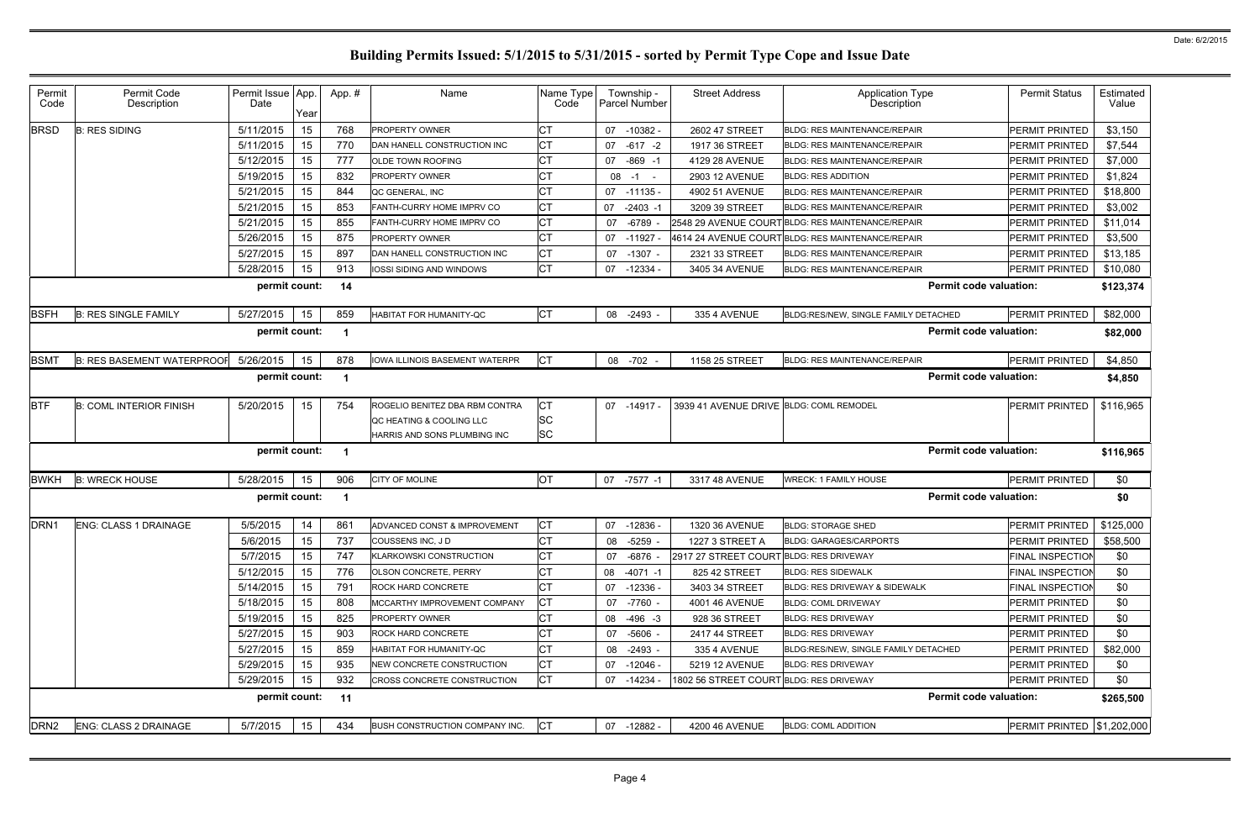| СT<br>5/11/2015<br>768<br>\$3,150<br><b>B: RES SIDING</b><br>15<br><b>PROPERTY OWNER</b><br>07 -10382 -<br>2602 47 STREET<br><b>BLDG: RES MAINTENANCE/REPAIR</b><br><b>PERMIT PRINTED</b><br>СT<br>5/11/2015<br>15<br>770<br>07 -617 -2<br>1917 36 STREET<br>PERMIT PRINTED<br>\$7,544<br>DAN HANELL CONSTRUCTION INC<br><b>BLDG: RES MAINTENANCE/REPAIR</b><br>СT<br>5/12/2015<br>777<br>15<br>$-869 - 1$<br>\$7,000<br>OLDE TOWN ROOFING<br>07<br>PERMIT PRINTED<br>4129 28 AVENUE<br><b>BLDG: RES MAINTENANCE/REPAIR</b><br>СT<br>5/19/2015<br>15<br>832<br>PERMIT PRINTED<br>\$1,824<br><b>PROPERTY OWNER</b><br>$08 - 1 -$<br>2903 12 AVENUE<br><b>BLDG: RES ADDITION</b><br>СT<br>5/21/2015<br>15<br>844<br>\$18,800<br>QC GENERAL, INC<br>$07 - 11135 -$<br>PERMIT PRINTED<br>4902 51 AVENUE<br><b>BLDG: RES MAINTENANCE/REPAIR</b><br>5/21/2015<br>15<br>CT<br>853<br>FANTH-CURRY HOME IMPRV CO<br>07 -2403 -1<br>3209 39 STREET<br><b>BLDG: RES MAINTENANCE/REPAIR</b><br>PERMIT PRINTED<br>\$3,002<br><b>CT</b><br>5/21/2015<br>15<br>855<br>-6789<br>\$11,014<br>FANTH-CURRY HOME IMPRV CO<br>07<br>2548 29 AVENUE COURT BLDG: RES MAINTENANCE/REPAIR<br>PERMIT PRINTED<br>CT<br>5/26/2015<br>15<br>875<br><b>PROPERTY OWNER</b><br>07 -11927<br>4614 24 AVENUE COURT<br>BLDG: RES MAINTENANCE/REPAIR<br>PERMIT PRINTED<br>\$3,500<br>СT<br>897<br>5/27/2015<br>15<br>DAN HANELL CONSTRUCTION INC<br>\$13,185<br>07 -1307 -<br>2321 33 STREET<br><b>BLDG: RES MAINTENANCE/REPAIR</b><br>PERMIT PRINTED<br>Iст<br>5/28/2015<br>15<br><b>PERMIT PRINTED</b><br>913<br>IOSSI SIDING AND WINDOWS<br><b>BLDG: RES MAINTENANCE/REPAIR</b><br>\$10,080<br>07 -12334 -<br>3405 34 AVENUE<br><b>Permit code valuation:</b><br>permit count:<br>14<br>\$123,374<br>Iст<br>\$82,000<br>5/27/2015<br>15<br><b>PERMIT PRINTED</b><br><b>B: RES SINGLE FAMILY</b><br>859<br><b>HABITAT FOR HUMANITY-QC</b><br>08 -2493<br>335 4 AVENUE<br>BLDG:RES/NEW, SINGLE FAMILY DETACHED<br>permit count:<br><b>Permit code valuation:</b><br>\$82,000<br>-1<br>878<br><b>CT</b><br><b>B: RES BASEMENT WATERPROOF</b><br>5/26/2015<br>15<br><b>IOWA ILLINOIS BASEMENT WATERPR</b><br><b>BLDG: RES MAINTENANCE/REPAIR</b><br>PERMIT PRINTED<br>\$4,850<br>08 -702 -<br>1158 25 STREET<br>permit count:<br><b>Permit code valuation:</b><br>\$4,850<br>-1<br>IСТ<br>\$116,965<br><b>B: COML INTERIOR FINISH</b><br>5/20/2015<br>15<br>754<br>ROGELIO BENITEZ DBA RBM CONTRA<br>07 -14917 -<br>3939 41 AVENUE DRIVE BLDG: COML REMODEL<br>PERMIT PRINTED<br><b>SC</b><br>QC HEATING & COOLING LLC<br><b>SC</b><br>HARRIS AND SONS PLUMBING INC<br>permit count:<br><b>Permit code valuation:</b><br>\$116,965<br>-1<br><b>OT</b><br>15<br>906<br><b>WRECK: 1 FAMILY HOUSE</b><br>\$0<br><b>B: WRECK HOUSE</b><br>5/28/2015<br>CITY OF MOLINE<br>07 -7577 -1<br>3317 48 AVENUE<br><b>PERMIT PRINTED</b><br><b>Permit code valuation:</b><br>permit count:<br>\$0<br>-1<br><b>ENG: CLASS 1 DRAINAGE</b><br>5/5/2015<br>14<br>СT<br><b>PERMIT PRINTED</b><br>\$125,000<br>861<br>ADVANCED CONST & IMPROVEMENT<br>07<br>-12836 -<br>1320 36 AVENUE<br><b>BLDG: STORAGE SHED</b><br><b>CT</b><br>PERMIT PRINTED<br>5/6/2015<br>15<br>COUSSENS INC, JD<br>\$58,500<br>737<br>08 -5259<br>1227 3 STREET A<br>BLDG: GARAGES/CARPORTS<br><b>CT</b><br>5/7/2015<br>15<br>747<br>\$0<br><b>KLARKOWSKI CONSTRUCTION</b><br>2917 27 STREET COURT BLDG: RES DRIVEWAY<br><b>FINAL INSPECTION</b><br>07 -6876 -<br><b>CT</b><br>5/12/2015<br>15<br>776<br>OLSON CONCRETE, PERRY<br>08 -4071 -1<br>825 42 STREET<br><b>BLDG: RES SIDEWALK</b><br><b>FINAL INSPECTION</b><br>\$0<br>5/14/2015<br>15<br>791<br>ROCK HARD CONCRETE<br><b>FINAL INSPECTION</b><br>\$0<br>07 -12336 -<br>3403 34 STREET<br><b>BLDG: RES DRIVEWAY &amp; SIDEWALK</b><br>IСТ<br>5/18/2015<br>15<br>808<br>PERMIT PRINTED<br>MCCARTHY IMPROVEMENT COMPANY<br>07 -7760 -<br>\$0<br>4001 46 AVENUE<br><b>BLDG: COML DRIVEWAY</b><br>5/19/2015<br>СT<br>15<br>825<br>PERMIT PRINTED<br>\$0<br><b>PROPERTY OWNER</b><br>08 -496 -3<br>928 36 STREET<br><b>BLDG: RES DRIVEWAY</b><br><b>CT</b><br>5/27/2015<br>15<br>903<br>\$0<br>ROCK HARD CONCRETE<br><b>BLDG: RES DRIVEWAY</b><br>PERMIT PRINTED<br>07 -5606 -<br>2417 44 STREET<br>СT<br>5/27/2015<br>15<br>859<br>HABITAT FOR HUMANITY-QC<br>BLDG:RES/NEW, SINGLE FAMILY DETACHED<br>\$82,000<br>08 -2493 -<br>335 4 AVENUE<br>PERMIT PRINTED<br>IСТ<br>5/29/2015<br>15<br>935<br>PERMIT PRINTED<br>\$0<br>NEW CONCRETE CONSTRUCTION<br>07 -12046 -<br>5219 12 AVENUE<br><b>BLDG: RES DRIVEWAY</b><br>IСТ<br>5/29/2015<br>932<br>15<br>1802 56 STREET COURT BLDG: RES DRIVEWAY<br>PERMIT PRINTED<br>\$0<br>07 -14234 -<br><b>CROSS CONCRETE CONSTRUCTION</b><br><b>Permit code valuation:</b><br>permit count:<br>11<br>\$265,500<br><b>CT</b><br>BUSH CONSTRUCTION COMPANY INC.<br>PERMIT PRINTED   \$1,202,000<br><b>ENG: CLASS 2 DRAINAGE</b><br>5/7/2015<br>15<br>434<br>07 -12882 -<br>4200 46 AVENUE<br><b>BLDG: COML ADDITION</b> | Permit<br>Code   | Permit Code<br>Description | Permit Issue App.<br>Date | Year | App.# | Name | Name Type<br>Code | Township -<br>Parcel Number | <b>Street Address</b> | <b>Application Type</b><br><b>Description</b> | <b>Permit Status</b> | Estimated<br>Value |
|----------------------------------------------------------------------------------------------------------------------------------------------------------------------------------------------------------------------------------------------------------------------------------------------------------------------------------------------------------------------------------------------------------------------------------------------------------------------------------------------------------------------------------------------------------------------------------------------------------------------------------------------------------------------------------------------------------------------------------------------------------------------------------------------------------------------------------------------------------------------------------------------------------------------------------------------------------------------------------------------------------------------------------------------------------------------------------------------------------------------------------------------------------------------------------------------------------------------------------------------------------------------------------------------------------------------------------------------------------------------------------------------------------------------------------------------------------------------------------------------------------------------------------------------------------------------------------------------------------------------------------------------------------------------------------------------------------------------------------------------------------------------------------------------------------------------------------------------------------------------------------------------------------------------------------------------------------------------------------------------------------------------------------------------------------------------------------------------------------------------------------------------------------------------------------------------------------------------------------------------------------------------------------------------------------------------------------------------------------------------------------------------------------------------------------------------------------------------------------------------------------------------------------------------------------------------------------------------------------------------------------------------------------------------------------------------------------------------------------------------------------------------------------------------------------------------------------------------------------------------------------------------------------------------------------------------------------------------------------------------------------------------------------------------------------------------------------------------------------------------------------------------------------------------------------------------------------------------------------------------------------------------------------------------------------------------------------------------------------------------------------------------------------------------------------------------------------------------------------------------------------------------------------------------------------------------------------------------------------------------------------------------------------------------------------------------------------------------------------------------------------------------------------------------------------------------------------------------------------------------------------------------------------------------------------------------------------------------------------------------------------------------------------------------------------------------------------------------------------------------------------------------------------------------------------------------------------------------------------------------------------------------------------------------------------------------------------------------------------------------------------------------------------------------------------------------------------------------------------------------------------------------------------------------------------------------------------------------------------------------------------------------------------------------------------------------------------------------------------------------------------------------------------------------------------------------------------------------------------------------------------------------------------------------------------------------------------------------------------------------------------------------------------|------------------|----------------------------|---------------------------|------|-------|------|-------------------|-----------------------------|-----------------------|-----------------------------------------------|----------------------|--------------------|
|                                                                                                                                                                                                                                                                                                                                                                                                                                                                                                                                                                                                                                                                                                                                                                                                                                                                                                                                                                                                                                                                                                                                                                                                                                                                                                                                                                                                                                                                                                                                                                                                                                                                                                                                                                                                                                                                                                                                                                                                                                                                                                                                                                                                                                                                                                                                                                                                                                                                                                                                                                                                                                                                                                                                                                                                                                                                                                                                                                                                                                                                                                                                                                                                                                                                                                                                                                                                                                                                                                                                                                                                                                                                                                                                                                                                                                                                                                                                                                                                                                                                                                                                                                                                                                                                                                                                                                                                                                                                                                                                                                                                                                                                                                                                                                                                                                                                                                                                                                                                                                  | <b>BRSD</b>      |                            |                           |      |       |      |                   |                             |                       |                                               |                      |                    |
|                                                                                                                                                                                                                                                                                                                                                                                                                                                                                                                                                                                                                                                                                                                                                                                                                                                                                                                                                                                                                                                                                                                                                                                                                                                                                                                                                                                                                                                                                                                                                                                                                                                                                                                                                                                                                                                                                                                                                                                                                                                                                                                                                                                                                                                                                                                                                                                                                                                                                                                                                                                                                                                                                                                                                                                                                                                                                                                                                                                                                                                                                                                                                                                                                                                                                                                                                                                                                                                                                                                                                                                                                                                                                                                                                                                                                                                                                                                                                                                                                                                                                                                                                                                                                                                                                                                                                                                                                                                                                                                                                                                                                                                                                                                                                                                                                                                                                                                                                                                                                                  |                  |                            |                           |      |       |      |                   |                             |                       |                                               |                      |                    |
|                                                                                                                                                                                                                                                                                                                                                                                                                                                                                                                                                                                                                                                                                                                                                                                                                                                                                                                                                                                                                                                                                                                                                                                                                                                                                                                                                                                                                                                                                                                                                                                                                                                                                                                                                                                                                                                                                                                                                                                                                                                                                                                                                                                                                                                                                                                                                                                                                                                                                                                                                                                                                                                                                                                                                                                                                                                                                                                                                                                                                                                                                                                                                                                                                                                                                                                                                                                                                                                                                                                                                                                                                                                                                                                                                                                                                                                                                                                                                                                                                                                                                                                                                                                                                                                                                                                                                                                                                                                                                                                                                                                                                                                                                                                                                                                                                                                                                                                                                                                                                                  |                  |                            |                           |      |       |      |                   |                             |                       |                                               |                      |                    |
|                                                                                                                                                                                                                                                                                                                                                                                                                                                                                                                                                                                                                                                                                                                                                                                                                                                                                                                                                                                                                                                                                                                                                                                                                                                                                                                                                                                                                                                                                                                                                                                                                                                                                                                                                                                                                                                                                                                                                                                                                                                                                                                                                                                                                                                                                                                                                                                                                                                                                                                                                                                                                                                                                                                                                                                                                                                                                                                                                                                                                                                                                                                                                                                                                                                                                                                                                                                                                                                                                                                                                                                                                                                                                                                                                                                                                                                                                                                                                                                                                                                                                                                                                                                                                                                                                                                                                                                                                                                                                                                                                                                                                                                                                                                                                                                                                                                                                                                                                                                                                                  |                  |                            |                           |      |       |      |                   |                             |                       |                                               |                      |                    |
|                                                                                                                                                                                                                                                                                                                                                                                                                                                                                                                                                                                                                                                                                                                                                                                                                                                                                                                                                                                                                                                                                                                                                                                                                                                                                                                                                                                                                                                                                                                                                                                                                                                                                                                                                                                                                                                                                                                                                                                                                                                                                                                                                                                                                                                                                                                                                                                                                                                                                                                                                                                                                                                                                                                                                                                                                                                                                                                                                                                                                                                                                                                                                                                                                                                                                                                                                                                                                                                                                                                                                                                                                                                                                                                                                                                                                                                                                                                                                                                                                                                                                                                                                                                                                                                                                                                                                                                                                                                                                                                                                                                                                                                                                                                                                                                                                                                                                                                                                                                                                                  |                  |                            |                           |      |       |      |                   |                             |                       |                                               |                      |                    |
|                                                                                                                                                                                                                                                                                                                                                                                                                                                                                                                                                                                                                                                                                                                                                                                                                                                                                                                                                                                                                                                                                                                                                                                                                                                                                                                                                                                                                                                                                                                                                                                                                                                                                                                                                                                                                                                                                                                                                                                                                                                                                                                                                                                                                                                                                                                                                                                                                                                                                                                                                                                                                                                                                                                                                                                                                                                                                                                                                                                                                                                                                                                                                                                                                                                                                                                                                                                                                                                                                                                                                                                                                                                                                                                                                                                                                                                                                                                                                                                                                                                                                                                                                                                                                                                                                                                                                                                                                                                                                                                                                                                                                                                                                                                                                                                                                                                                                                                                                                                                                                  |                  |                            |                           |      |       |      |                   |                             |                       |                                               |                      |                    |
|                                                                                                                                                                                                                                                                                                                                                                                                                                                                                                                                                                                                                                                                                                                                                                                                                                                                                                                                                                                                                                                                                                                                                                                                                                                                                                                                                                                                                                                                                                                                                                                                                                                                                                                                                                                                                                                                                                                                                                                                                                                                                                                                                                                                                                                                                                                                                                                                                                                                                                                                                                                                                                                                                                                                                                                                                                                                                                                                                                                                                                                                                                                                                                                                                                                                                                                                                                                                                                                                                                                                                                                                                                                                                                                                                                                                                                                                                                                                                                                                                                                                                                                                                                                                                                                                                                                                                                                                                                                                                                                                                                                                                                                                                                                                                                                                                                                                                                                                                                                                                                  |                  |                            |                           |      |       |      |                   |                             |                       |                                               |                      |                    |
|                                                                                                                                                                                                                                                                                                                                                                                                                                                                                                                                                                                                                                                                                                                                                                                                                                                                                                                                                                                                                                                                                                                                                                                                                                                                                                                                                                                                                                                                                                                                                                                                                                                                                                                                                                                                                                                                                                                                                                                                                                                                                                                                                                                                                                                                                                                                                                                                                                                                                                                                                                                                                                                                                                                                                                                                                                                                                                                                                                                                                                                                                                                                                                                                                                                                                                                                                                                                                                                                                                                                                                                                                                                                                                                                                                                                                                                                                                                                                                                                                                                                                                                                                                                                                                                                                                                                                                                                                                                                                                                                                                                                                                                                                                                                                                                                                                                                                                                                                                                                                                  |                  |                            |                           |      |       |      |                   |                             |                       |                                               |                      |                    |
|                                                                                                                                                                                                                                                                                                                                                                                                                                                                                                                                                                                                                                                                                                                                                                                                                                                                                                                                                                                                                                                                                                                                                                                                                                                                                                                                                                                                                                                                                                                                                                                                                                                                                                                                                                                                                                                                                                                                                                                                                                                                                                                                                                                                                                                                                                                                                                                                                                                                                                                                                                                                                                                                                                                                                                                                                                                                                                                                                                                                                                                                                                                                                                                                                                                                                                                                                                                                                                                                                                                                                                                                                                                                                                                                                                                                                                                                                                                                                                                                                                                                                                                                                                                                                                                                                                                                                                                                                                                                                                                                                                                                                                                                                                                                                                                                                                                                                                                                                                                                                                  |                  |                            |                           |      |       |      |                   |                             |                       |                                               |                      |                    |
|                                                                                                                                                                                                                                                                                                                                                                                                                                                                                                                                                                                                                                                                                                                                                                                                                                                                                                                                                                                                                                                                                                                                                                                                                                                                                                                                                                                                                                                                                                                                                                                                                                                                                                                                                                                                                                                                                                                                                                                                                                                                                                                                                                                                                                                                                                                                                                                                                                                                                                                                                                                                                                                                                                                                                                                                                                                                                                                                                                                                                                                                                                                                                                                                                                                                                                                                                                                                                                                                                                                                                                                                                                                                                                                                                                                                                                                                                                                                                                                                                                                                                                                                                                                                                                                                                                                                                                                                                                                                                                                                                                                                                                                                                                                                                                                                                                                                                                                                                                                                                                  |                  |                            |                           |      |       |      |                   |                             |                       |                                               |                      |                    |
|                                                                                                                                                                                                                                                                                                                                                                                                                                                                                                                                                                                                                                                                                                                                                                                                                                                                                                                                                                                                                                                                                                                                                                                                                                                                                                                                                                                                                                                                                                                                                                                                                                                                                                                                                                                                                                                                                                                                                                                                                                                                                                                                                                                                                                                                                                                                                                                                                                                                                                                                                                                                                                                                                                                                                                                                                                                                                                                                                                                                                                                                                                                                                                                                                                                                                                                                                                                                                                                                                                                                                                                                                                                                                                                                                                                                                                                                                                                                                                                                                                                                                                                                                                                                                                                                                                                                                                                                                                                                                                                                                                                                                                                                                                                                                                                                                                                                                                                                                                                                                                  |                  |                            |                           |      |       |      |                   |                             |                       |                                               |                      |                    |
|                                                                                                                                                                                                                                                                                                                                                                                                                                                                                                                                                                                                                                                                                                                                                                                                                                                                                                                                                                                                                                                                                                                                                                                                                                                                                                                                                                                                                                                                                                                                                                                                                                                                                                                                                                                                                                                                                                                                                                                                                                                                                                                                                                                                                                                                                                                                                                                                                                                                                                                                                                                                                                                                                                                                                                                                                                                                                                                                                                                                                                                                                                                                                                                                                                                                                                                                                                                                                                                                                                                                                                                                                                                                                                                                                                                                                                                                                                                                                                                                                                                                                                                                                                                                                                                                                                                                                                                                                                                                                                                                                                                                                                                                                                                                                                                                                                                                                                                                                                                                                                  | <b>BSFH</b>      |                            |                           |      |       |      |                   |                             |                       |                                               |                      |                    |
|                                                                                                                                                                                                                                                                                                                                                                                                                                                                                                                                                                                                                                                                                                                                                                                                                                                                                                                                                                                                                                                                                                                                                                                                                                                                                                                                                                                                                                                                                                                                                                                                                                                                                                                                                                                                                                                                                                                                                                                                                                                                                                                                                                                                                                                                                                                                                                                                                                                                                                                                                                                                                                                                                                                                                                                                                                                                                                                                                                                                                                                                                                                                                                                                                                                                                                                                                                                                                                                                                                                                                                                                                                                                                                                                                                                                                                                                                                                                                                                                                                                                                                                                                                                                                                                                                                                                                                                                                                                                                                                                                                                                                                                                                                                                                                                                                                                                                                                                                                                                                                  |                  |                            |                           |      |       |      |                   |                             |                       |                                               |                      |                    |
|                                                                                                                                                                                                                                                                                                                                                                                                                                                                                                                                                                                                                                                                                                                                                                                                                                                                                                                                                                                                                                                                                                                                                                                                                                                                                                                                                                                                                                                                                                                                                                                                                                                                                                                                                                                                                                                                                                                                                                                                                                                                                                                                                                                                                                                                                                                                                                                                                                                                                                                                                                                                                                                                                                                                                                                                                                                                                                                                                                                                                                                                                                                                                                                                                                                                                                                                                                                                                                                                                                                                                                                                                                                                                                                                                                                                                                                                                                                                                                                                                                                                                                                                                                                                                                                                                                                                                                                                                                                                                                                                                                                                                                                                                                                                                                                                                                                                                                                                                                                                                                  | <b>BSMT</b>      |                            |                           |      |       |      |                   |                             |                       |                                               |                      |                    |
|                                                                                                                                                                                                                                                                                                                                                                                                                                                                                                                                                                                                                                                                                                                                                                                                                                                                                                                                                                                                                                                                                                                                                                                                                                                                                                                                                                                                                                                                                                                                                                                                                                                                                                                                                                                                                                                                                                                                                                                                                                                                                                                                                                                                                                                                                                                                                                                                                                                                                                                                                                                                                                                                                                                                                                                                                                                                                                                                                                                                                                                                                                                                                                                                                                                                                                                                                                                                                                                                                                                                                                                                                                                                                                                                                                                                                                                                                                                                                                                                                                                                                                                                                                                                                                                                                                                                                                                                                                                                                                                                                                                                                                                                                                                                                                                                                                                                                                                                                                                                                                  |                  |                            |                           |      |       |      |                   |                             |                       |                                               |                      |                    |
|                                                                                                                                                                                                                                                                                                                                                                                                                                                                                                                                                                                                                                                                                                                                                                                                                                                                                                                                                                                                                                                                                                                                                                                                                                                                                                                                                                                                                                                                                                                                                                                                                                                                                                                                                                                                                                                                                                                                                                                                                                                                                                                                                                                                                                                                                                                                                                                                                                                                                                                                                                                                                                                                                                                                                                                                                                                                                                                                                                                                                                                                                                                                                                                                                                                                                                                                                                                                                                                                                                                                                                                                                                                                                                                                                                                                                                                                                                                                                                                                                                                                                                                                                                                                                                                                                                                                                                                                                                                                                                                                                                                                                                                                                                                                                                                                                                                                                                                                                                                                                                  | <b>BTF</b>       |                            |                           |      |       |      |                   |                             |                       |                                               |                      |                    |
|                                                                                                                                                                                                                                                                                                                                                                                                                                                                                                                                                                                                                                                                                                                                                                                                                                                                                                                                                                                                                                                                                                                                                                                                                                                                                                                                                                                                                                                                                                                                                                                                                                                                                                                                                                                                                                                                                                                                                                                                                                                                                                                                                                                                                                                                                                                                                                                                                                                                                                                                                                                                                                                                                                                                                                                                                                                                                                                                                                                                                                                                                                                                                                                                                                                                                                                                                                                                                                                                                                                                                                                                                                                                                                                                                                                                                                                                                                                                                                                                                                                                                                                                                                                                                                                                                                                                                                                                                                                                                                                                                                                                                                                                                                                                                                                                                                                                                                                                                                                                                                  |                  |                            |                           |      |       |      |                   |                             |                       |                                               |                      |                    |
|                                                                                                                                                                                                                                                                                                                                                                                                                                                                                                                                                                                                                                                                                                                                                                                                                                                                                                                                                                                                                                                                                                                                                                                                                                                                                                                                                                                                                                                                                                                                                                                                                                                                                                                                                                                                                                                                                                                                                                                                                                                                                                                                                                                                                                                                                                                                                                                                                                                                                                                                                                                                                                                                                                                                                                                                                                                                                                                                                                                                                                                                                                                                                                                                                                                                                                                                                                                                                                                                                                                                                                                                                                                                                                                                                                                                                                                                                                                                                                                                                                                                                                                                                                                                                                                                                                                                                                                                                                                                                                                                                                                                                                                                                                                                                                                                                                                                                                                                                                                                                                  |                  |                            |                           |      |       |      |                   |                             |                       |                                               |                      |                    |
|                                                                                                                                                                                                                                                                                                                                                                                                                                                                                                                                                                                                                                                                                                                                                                                                                                                                                                                                                                                                                                                                                                                                                                                                                                                                                                                                                                                                                                                                                                                                                                                                                                                                                                                                                                                                                                                                                                                                                                                                                                                                                                                                                                                                                                                                                                                                                                                                                                                                                                                                                                                                                                                                                                                                                                                                                                                                                                                                                                                                                                                                                                                                                                                                                                                                                                                                                                                                                                                                                                                                                                                                                                                                                                                                                                                                                                                                                                                                                                                                                                                                                                                                                                                                                                                                                                                                                                                                                                                                                                                                                                                                                                                                                                                                                                                                                                                                                                                                                                                                                                  |                  |                            |                           |      |       |      |                   |                             |                       |                                               |                      |                    |
|                                                                                                                                                                                                                                                                                                                                                                                                                                                                                                                                                                                                                                                                                                                                                                                                                                                                                                                                                                                                                                                                                                                                                                                                                                                                                                                                                                                                                                                                                                                                                                                                                                                                                                                                                                                                                                                                                                                                                                                                                                                                                                                                                                                                                                                                                                                                                                                                                                                                                                                                                                                                                                                                                                                                                                                                                                                                                                                                                                                                                                                                                                                                                                                                                                                                                                                                                                                                                                                                                                                                                                                                                                                                                                                                                                                                                                                                                                                                                                                                                                                                                                                                                                                                                                                                                                                                                                                                                                                                                                                                                                                                                                                                                                                                                                                                                                                                                                                                                                                                                                  | <b>BWKH</b>      |                            |                           |      |       |      |                   |                             |                       |                                               |                      |                    |
|                                                                                                                                                                                                                                                                                                                                                                                                                                                                                                                                                                                                                                                                                                                                                                                                                                                                                                                                                                                                                                                                                                                                                                                                                                                                                                                                                                                                                                                                                                                                                                                                                                                                                                                                                                                                                                                                                                                                                                                                                                                                                                                                                                                                                                                                                                                                                                                                                                                                                                                                                                                                                                                                                                                                                                                                                                                                                                                                                                                                                                                                                                                                                                                                                                                                                                                                                                                                                                                                                                                                                                                                                                                                                                                                                                                                                                                                                                                                                                                                                                                                                                                                                                                                                                                                                                                                                                                                                                                                                                                                                                                                                                                                                                                                                                                                                                                                                                                                                                                                                                  |                  |                            |                           |      |       |      |                   |                             |                       |                                               |                      |                    |
|                                                                                                                                                                                                                                                                                                                                                                                                                                                                                                                                                                                                                                                                                                                                                                                                                                                                                                                                                                                                                                                                                                                                                                                                                                                                                                                                                                                                                                                                                                                                                                                                                                                                                                                                                                                                                                                                                                                                                                                                                                                                                                                                                                                                                                                                                                                                                                                                                                                                                                                                                                                                                                                                                                                                                                                                                                                                                                                                                                                                                                                                                                                                                                                                                                                                                                                                                                                                                                                                                                                                                                                                                                                                                                                                                                                                                                                                                                                                                                                                                                                                                                                                                                                                                                                                                                                                                                                                                                                                                                                                                                                                                                                                                                                                                                                                                                                                                                                                                                                                                                  | DRN <sub>1</sub> |                            |                           |      |       |      |                   |                             |                       |                                               |                      |                    |
|                                                                                                                                                                                                                                                                                                                                                                                                                                                                                                                                                                                                                                                                                                                                                                                                                                                                                                                                                                                                                                                                                                                                                                                                                                                                                                                                                                                                                                                                                                                                                                                                                                                                                                                                                                                                                                                                                                                                                                                                                                                                                                                                                                                                                                                                                                                                                                                                                                                                                                                                                                                                                                                                                                                                                                                                                                                                                                                                                                                                                                                                                                                                                                                                                                                                                                                                                                                                                                                                                                                                                                                                                                                                                                                                                                                                                                                                                                                                                                                                                                                                                                                                                                                                                                                                                                                                                                                                                                                                                                                                                                                                                                                                                                                                                                                                                                                                                                                                                                                                                                  |                  |                            |                           |      |       |      |                   |                             |                       |                                               |                      |                    |
|                                                                                                                                                                                                                                                                                                                                                                                                                                                                                                                                                                                                                                                                                                                                                                                                                                                                                                                                                                                                                                                                                                                                                                                                                                                                                                                                                                                                                                                                                                                                                                                                                                                                                                                                                                                                                                                                                                                                                                                                                                                                                                                                                                                                                                                                                                                                                                                                                                                                                                                                                                                                                                                                                                                                                                                                                                                                                                                                                                                                                                                                                                                                                                                                                                                                                                                                                                                                                                                                                                                                                                                                                                                                                                                                                                                                                                                                                                                                                                                                                                                                                                                                                                                                                                                                                                                                                                                                                                                                                                                                                                                                                                                                                                                                                                                                                                                                                                                                                                                                                                  |                  |                            |                           |      |       |      |                   |                             |                       |                                               |                      |                    |
|                                                                                                                                                                                                                                                                                                                                                                                                                                                                                                                                                                                                                                                                                                                                                                                                                                                                                                                                                                                                                                                                                                                                                                                                                                                                                                                                                                                                                                                                                                                                                                                                                                                                                                                                                                                                                                                                                                                                                                                                                                                                                                                                                                                                                                                                                                                                                                                                                                                                                                                                                                                                                                                                                                                                                                                                                                                                                                                                                                                                                                                                                                                                                                                                                                                                                                                                                                                                                                                                                                                                                                                                                                                                                                                                                                                                                                                                                                                                                                                                                                                                                                                                                                                                                                                                                                                                                                                                                                                                                                                                                                                                                                                                                                                                                                                                                                                                                                                                                                                                                                  |                  |                            |                           |      |       |      |                   |                             |                       |                                               |                      |                    |
|                                                                                                                                                                                                                                                                                                                                                                                                                                                                                                                                                                                                                                                                                                                                                                                                                                                                                                                                                                                                                                                                                                                                                                                                                                                                                                                                                                                                                                                                                                                                                                                                                                                                                                                                                                                                                                                                                                                                                                                                                                                                                                                                                                                                                                                                                                                                                                                                                                                                                                                                                                                                                                                                                                                                                                                                                                                                                                                                                                                                                                                                                                                                                                                                                                                                                                                                                                                                                                                                                                                                                                                                                                                                                                                                                                                                                                                                                                                                                                                                                                                                                                                                                                                                                                                                                                                                                                                                                                                                                                                                                                                                                                                                                                                                                                                                                                                                                                                                                                                                                                  |                  |                            |                           |      |       |      |                   |                             |                       |                                               |                      |                    |
|                                                                                                                                                                                                                                                                                                                                                                                                                                                                                                                                                                                                                                                                                                                                                                                                                                                                                                                                                                                                                                                                                                                                                                                                                                                                                                                                                                                                                                                                                                                                                                                                                                                                                                                                                                                                                                                                                                                                                                                                                                                                                                                                                                                                                                                                                                                                                                                                                                                                                                                                                                                                                                                                                                                                                                                                                                                                                                                                                                                                                                                                                                                                                                                                                                                                                                                                                                                                                                                                                                                                                                                                                                                                                                                                                                                                                                                                                                                                                                                                                                                                                                                                                                                                                                                                                                                                                                                                                                                                                                                                                                                                                                                                                                                                                                                                                                                                                                                                                                                                                                  |                  |                            |                           |      |       |      |                   |                             |                       |                                               |                      |                    |
|                                                                                                                                                                                                                                                                                                                                                                                                                                                                                                                                                                                                                                                                                                                                                                                                                                                                                                                                                                                                                                                                                                                                                                                                                                                                                                                                                                                                                                                                                                                                                                                                                                                                                                                                                                                                                                                                                                                                                                                                                                                                                                                                                                                                                                                                                                                                                                                                                                                                                                                                                                                                                                                                                                                                                                                                                                                                                                                                                                                                                                                                                                                                                                                                                                                                                                                                                                                                                                                                                                                                                                                                                                                                                                                                                                                                                                                                                                                                                                                                                                                                                                                                                                                                                                                                                                                                                                                                                                                                                                                                                                                                                                                                                                                                                                                                                                                                                                                                                                                                                                  |                  |                            |                           |      |       |      |                   |                             |                       |                                               |                      |                    |
|                                                                                                                                                                                                                                                                                                                                                                                                                                                                                                                                                                                                                                                                                                                                                                                                                                                                                                                                                                                                                                                                                                                                                                                                                                                                                                                                                                                                                                                                                                                                                                                                                                                                                                                                                                                                                                                                                                                                                                                                                                                                                                                                                                                                                                                                                                                                                                                                                                                                                                                                                                                                                                                                                                                                                                                                                                                                                                                                                                                                                                                                                                                                                                                                                                                                                                                                                                                                                                                                                                                                                                                                                                                                                                                                                                                                                                                                                                                                                                                                                                                                                                                                                                                                                                                                                                                                                                                                                                                                                                                                                                                                                                                                                                                                                                                                                                                                                                                                                                                                                                  |                  |                            |                           |      |       |      |                   |                             |                       |                                               |                      |                    |
|                                                                                                                                                                                                                                                                                                                                                                                                                                                                                                                                                                                                                                                                                                                                                                                                                                                                                                                                                                                                                                                                                                                                                                                                                                                                                                                                                                                                                                                                                                                                                                                                                                                                                                                                                                                                                                                                                                                                                                                                                                                                                                                                                                                                                                                                                                                                                                                                                                                                                                                                                                                                                                                                                                                                                                                                                                                                                                                                                                                                                                                                                                                                                                                                                                                                                                                                                                                                                                                                                                                                                                                                                                                                                                                                                                                                                                                                                                                                                                                                                                                                                                                                                                                                                                                                                                                                                                                                                                                                                                                                                                                                                                                                                                                                                                                                                                                                                                                                                                                                                                  |                  |                            |                           |      |       |      |                   |                             |                       |                                               |                      |                    |
|                                                                                                                                                                                                                                                                                                                                                                                                                                                                                                                                                                                                                                                                                                                                                                                                                                                                                                                                                                                                                                                                                                                                                                                                                                                                                                                                                                                                                                                                                                                                                                                                                                                                                                                                                                                                                                                                                                                                                                                                                                                                                                                                                                                                                                                                                                                                                                                                                                                                                                                                                                                                                                                                                                                                                                                                                                                                                                                                                                                                                                                                                                                                                                                                                                                                                                                                                                                                                                                                                                                                                                                                                                                                                                                                                                                                                                                                                                                                                                                                                                                                                                                                                                                                                                                                                                                                                                                                                                                                                                                                                                                                                                                                                                                                                                                                                                                                                                                                                                                                                                  |                  |                            |                           |      |       |      |                   |                             |                       |                                               |                      |                    |
|                                                                                                                                                                                                                                                                                                                                                                                                                                                                                                                                                                                                                                                                                                                                                                                                                                                                                                                                                                                                                                                                                                                                                                                                                                                                                                                                                                                                                                                                                                                                                                                                                                                                                                                                                                                                                                                                                                                                                                                                                                                                                                                                                                                                                                                                                                                                                                                                                                                                                                                                                                                                                                                                                                                                                                                                                                                                                                                                                                                                                                                                                                                                                                                                                                                                                                                                                                                                                                                                                                                                                                                                                                                                                                                                                                                                                                                                                                                                                                                                                                                                                                                                                                                                                                                                                                                                                                                                                                                                                                                                                                                                                                                                                                                                                                                                                                                                                                                                                                                                                                  |                  |                            |                           |      |       |      |                   |                             |                       |                                               |                      |                    |
|                                                                                                                                                                                                                                                                                                                                                                                                                                                                                                                                                                                                                                                                                                                                                                                                                                                                                                                                                                                                                                                                                                                                                                                                                                                                                                                                                                                                                                                                                                                                                                                                                                                                                                                                                                                                                                                                                                                                                                                                                                                                                                                                                                                                                                                                                                                                                                                                                                                                                                                                                                                                                                                                                                                                                                                                                                                                                                                                                                                                                                                                                                                                                                                                                                                                                                                                                                                                                                                                                                                                                                                                                                                                                                                                                                                                                                                                                                                                                                                                                                                                                                                                                                                                                                                                                                                                                                                                                                                                                                                                                                                                                                                                                                                                                                                                                                                                                                                                                                                                                                  |                  |                            |                           |      |       |      |                   |                             |                       |                                               |                      |                    |
|                                                                                                                                                                                                                                                                                                                                                                                                                                                                                                                                                                                                                                                                                                                                                                                                                                                                                                                                                                                                                                                                                                                                                                                                                                                                                                                                                                                                                                                                                                                                                                                                                                                                                                                                                                                                                                                                                                                                                                                                                                                                                                                                                                                                                                                                                                                                                                                                                                                                                                                                                                                                                                                                                                                                                                                                                                                                                                                                                                                                                                                                                                                                                                                                                                                                                                                                                                                                                                                                                                                                                                                                                                                                                                                                                                                                                                                                                                                                                                                                                                                                                                                                                                                                                                                                                                                                                                                                                                                                                                                                                                                                                                                                                                                                                                                                                                                                                                                                                                                                                                  | DRN <sub>2</sub> |                            |                           |      |       |      |                   |                             |                       |                                               |                      |                    |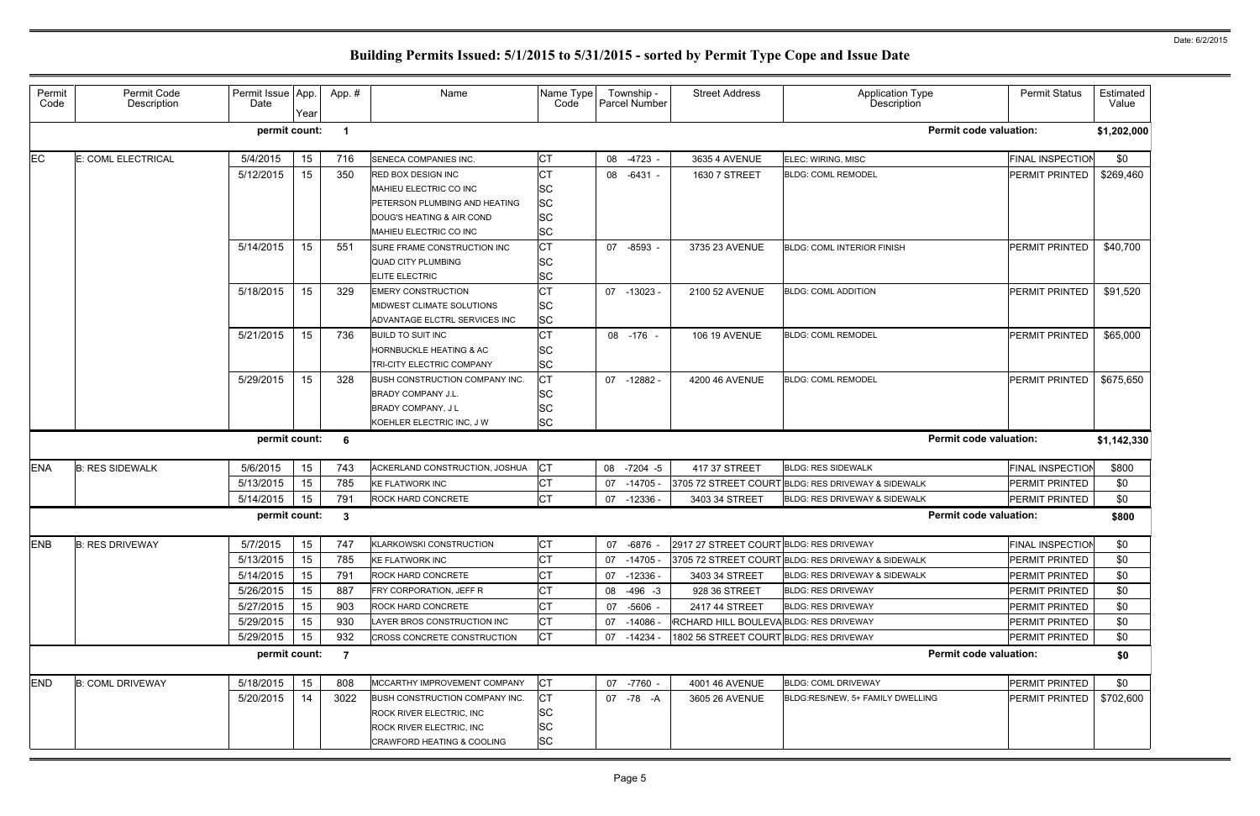| Permit<br>Code | Permit Code<br>Description | Permit Issue App.<br>Date | Year | App.#                | Name                                  | Name Type<br>Code | Township -<br>Parcel Number | <b>Street Address</b>                   | <b>Application Type</b><br>Description             | <b>Permit Status</b>    | Estimated<br>Value |
|----------------|----------------------------|---------------------------|------|----------------------|---------------------------------------|-------------------|-----------------------------|-----------------------------------------|----------------------------------------------------|-------------------------|--------------------|
|                |                            | permit count:             |      | $\blacktriangleleft$ |                                       |                   |                             |                                         | <b>Permit code valuation:</b>                      |                         | \$1,202,000        |
| EC             | E: COML ELECTRICAL         | 5/4/2015                  | 15   | 716                  | SENECA COMPANIES INC.                 | <b>CT</b>         | 08 -4723 -                  | 3635 4 AVENUE                           | ELEC: WIRING, MISC                                 | <b>FINAL INSPECTION</b> | \$0                |
|                |                            | 5/12/2015                 | 15   | 350                  | <b>RED BOX DESIGN INC</b>             | СT                | 08 -6431 -                  | 1630 7 STREET                           | <b>BLDG: COML REMODEL</b>                          | PERMIT PRINTED          | \$269,460          |
|                |                            |                           |      |                      | MAHIEU ELECTRIC CO INC                | <b>SC</b>         |                             |                                         |                                                    |                         |                    |
|                |                            |                           |      |                      | PETERSON PLUMBING AND HEATING         | <b>SC</b>         |                             |                                         |                                                    |                         |                    |
|                |                            |                           |      |                      | DOUG'S HEATING & AIR COND             | <b>SC</b>         |                             |                                         |                                                    |                         |                    |
|                |                            |                           |      |                      | MAHIEU ELECTRIC CO INC                | <b>SC</b>         |                             |                                         |                                                    |                         |                    |
|                |                            | 5/14/2015                 | 15   | 551                  | SURE FRAME CONSTRUCTION INC           | Iст               | 07 -8593                    | 3735 23 AVENUE                          | <b>BLDG: COML INTERIOR FINISH</b>                  | PERMIT PRINTED          | \$40,700           |
|                |                            |                           |      |                      | <b>QUAD CITY PLUMBING</b>             | <b>SC</b>         |                             |                                         |                                                    |                         |                    |
|                |                            |                           |      |                      | ELITE ELECTRIC                        | <b>SC</b>         |                             |                                         |                                                    |                         |                    |
|                |                            | 5/18/2015                 | 15   | 329                  | <b>EMERY CONSTRUCTION</b>             | СT                | $07 - 13023$                | 2100 52 AVENUE                          | <b>BLDG: COML ADDITION</b>                         | PERMIT PRINTED          | \$91,520           |
|                |                            |                           |      |                      | MIDWEST CLIMATE SOLUTIONS             | <b>SC</b>         |                             |                                         |                                                    |                         |                    |
|                |                            |                           |      |                      | ADVANTAGE ELCTRL SERVICES INC         | <b>SC</b>         |                             |                                         |                                                    |                         |                    |
|                |                            | 5/21/2015                 | 15   | 736                  | <b>BUILD TO SUIT INC</b>              | СT                | 08 -176 -                   | <b>106 19 AVENUE</b>                    | <b>BLDG: COML REMODEL</b>                          | PERMIT PRINTED          | \$65,000           |
|                |                            |                           |      |                      | <b>HORNBUCKLE HEATING &amp; AC</b>    | <b>SC</b>         |                             |                                         |                                                    |                         |                    |
|                |                            |                           |      |                      | TRI-CITY ELECTRIC COMPANY             | <b>SC</b>         |                             |                                         |                                                    |                         |                    |
|                |                            | 5/29/2015                 | 15   | 328                  | <b>BUSH CONSTRUCTION COMPANY INC.</b> | <b>CT</b>         | 07 -12882 -                 | 4200 46 AVENUE                          | <b>BLDG: COML REMODEL</b>                          | PERMIT PRINTED          | \$675,650          |
|                |                            |                           |      |                      | <b>BRADY COMPANY J.L.</b>             | <b>SC</b>         |                             |                                         |                                                    |                         |                    |
|                |                            |                           |      |                      | <b>BRADY COMPANY, JL</b>              | <b>SC</b>         |                             |                                         |                                                    |                         |                    |
|                |                            |                           |      |                      | KOEHLER ELECTRIC INC, J W             | <b>SC</b>         |                             |                                         |                                                    |                         |                    |
|                |                            | permit count:             |      | 6                    |                                       |                   |                             |                                         | <b>Permit code valuation:</b>                      |                         | \$1,142,330        |
| <b>ENA</b>     | <b>B: RES SIDEWALK</b>     | 5/6/2015                  | 15   | 743                  | ACKERLAND CONSTRUCTION, JOSHUA        | Iст               | 08 -7204 -5                 | 417 37 STREET                           | <b>BLDG: RES SIDEWALK</b>                          | <b>FINAL INSPECTION</b> | \$800              |
|                |                            | 5/13/2015                 | 15   | 785                  | <b>KE FLATWORK INC</b>                | СT                | 07 -14705 -                 |                                         | 3705 72 STREET COURT BLDG: RES DRIVEWAY & SIDEWALK | PERMIT PRINTED          | \$0                |
|                |                            | 5/14/2015                 | 15   | 791                  | ROCK HARD CONCRETE                    | <b>CT</b>         | 07 -12336 -                 | 3403 34 STREET                          | BLDG: RES DRIVEWAY & SIDEWALK                      | <b>PERMIT PRINTED</b>   | \$0                |
|                |                            | permit count:             |      | 3                    |                                       |                   |                             |                                         | <b>Permit code valuation:</b>                      |                         | \$800              |
| ENB            | <b>B: RES DRIVEWAY</b>     | 5/7/2015                  | 15   | 747                  | <b>KLARKOWSKI CONSTRUCTION</b>        | <b>CT</b>         | 07 -6876 -                  | 2917 27 STREET COURT BLDG: RES DRIVEWAY |                                                    | <b>FINAL INSPECTION</b> | \$0                |
|                |                            | 5/13/2015                 | 15   | 785                  | <b>KE FLATWORK INC</b>                | <b>CT</b>         | 07 -14705 -                 |                                         | 3705 72 STREET COURT BLDG: RES DRIVEWAY & SIDEWALK | <b>PERMIT PRINTED</b>   | \$0                |
|                |                            | 5/14/2015                 | 15   | 791                  | ROCK HARD CONCRETE                    | <b>CT</b>         | 07 -12336 -                 | 3403 34 STREET                          | BLDG: RES DRIVEWAY & SIDEWALK                      | <b>PERMIT PRINTED</b>   | \$0                |
|                |                            | 5/26/2015                 | 15   | 887                  | FRY CORPORATION, JEFF R               | СT                | 08 -496 -3                  | 928 36 STREET                           | <b>BLDG: RES DRIVEWAY</b>                          | <b>PERMIT PRINTED</b>   | \$0                |
|                |                            | 5/27/2015                 | 15   | 903                  | <b>ROCK HARD CONCRETE</b>             | <b>CT</b>         | 07 -5606 -                  | 2417 44 STREET                          | <b>BLDG: RES DRIVEWAY</b>                          | <b>PERMIT PRINTED</b>   | \$0                |
|                |                            | 5/29/2015                 | 15   | 930                  | LAYER BROS CONSTRUCTION INC           | СT                | 07 -14086 -                 | RCHARD HILL BOULEVA BLDG: RES DRIVEWAY  |                                                    | <b>PERMIT PRINTED</b>   | \$0                |
|                |                            | 5/29/2015                 | 15   | 932                  | <b>CROSS CONCRETE CONSTRUCTION</b>    | IСТ               | 07 -14234 -                 | 1802 56 STREET COURT BLDG: RES DRIVEWAY |                                                    | PERMIT PRINTED          | \$0                |
|                |                            | permit count:             |      | $\overline{7}$       |                                       |                   |                             |                                         | <b>Permit code valuation:</b>                      |                         | \$0                |
| <b>END</b>     | <b>B: COML DRIVEWAY</b>    | 5/18/2015                 | 15   | 808                  | MCCARTHY IMPROVEMENT COMPANY          | <b>ICT</b>        | 07 -7760 -                  | 4001 46 AVENUE                          | <b>BLDG: COML DRIVEWAY</b>                         | <b>PERMIT PRINTED</b>   | \$0                |
|                |                            | 5/20/2015                 | -14  | 3022                 | BUSH CONSTRUCTION COMPANY INC.        | <b>CT</b>         | 07 -78 -A                   | 3605 26 AVENUE                          | BLDG:RES/NEW, 5+ FAMILY DWELLING                   | PERMIT PRINTED          | \$702,600          |
|                |                            |                           |      |                      | ROCK RIVER ELECTRIC, INC              | <b>ISC</b>        |                             |                                         |                                                    |                         |                    |
|                |                            |                           |      |                      | ROCK RIVER ELECTRIC, INC              | <b>SC</b>         |                             |                                         |                                                    |                         |                    |
|                |                            |                           |      |                      | <b>CRAWFORD HEATING &amp; COOLING</b> | <b>SC</b>         |                             |                                         |                                                    |                         |                    |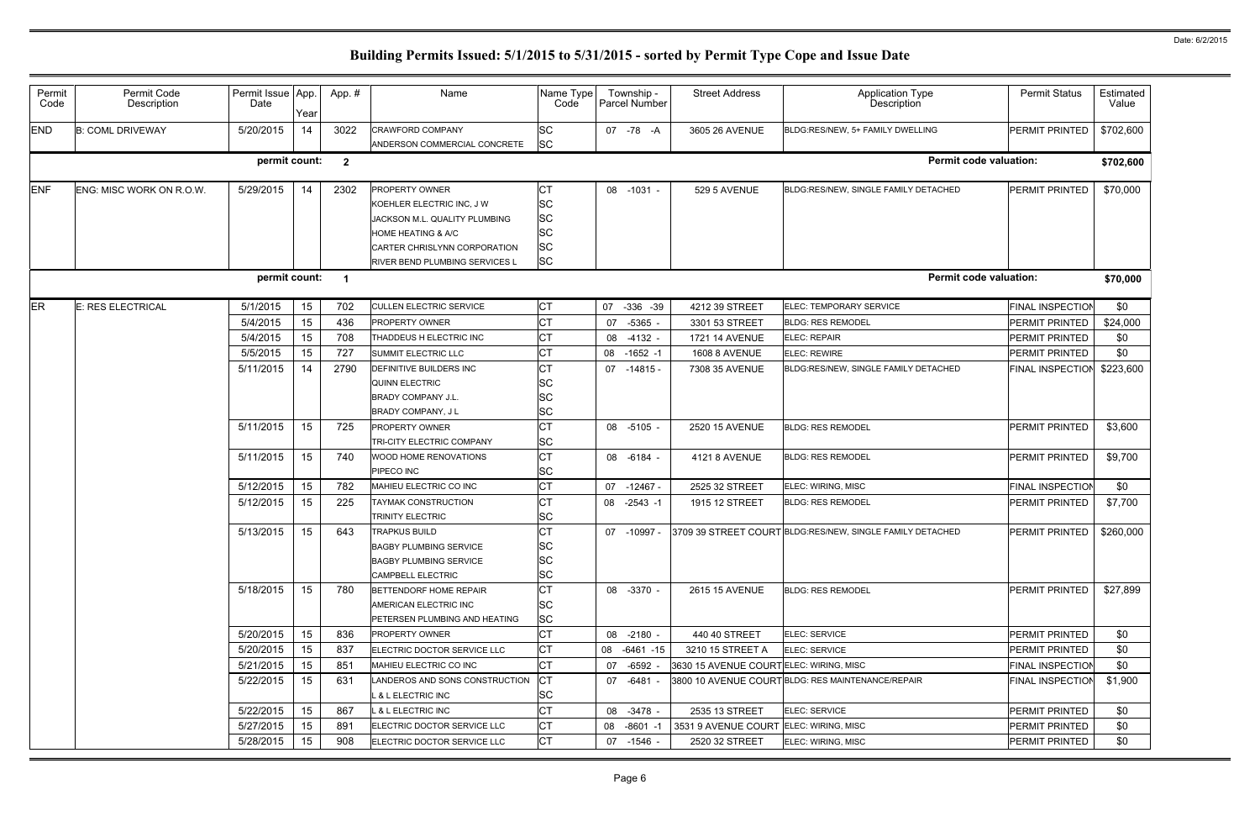|                |                            |                           |      |              |                                       |                   |    |                             | <b>Street Address</b>                  |                                                           |                         |                    |
|----------------|----------------------------|---------------------------|------|--------------|---------------------------------------|-------------------|----|-----------------------------|----------------------------------------|-----------------------------------------------------------|-------------------------|--------------------|
| Permit<br>Code | Permit Code<br>Description | Permit Issue App.<br>Date | Year | App.#        | Name                                  | Name Type<br>Code |    | Township -<br>Parcel Number |                                        | <b>Application Type</b><br><b>Description</b>             | <b>Permit Status</b>    | Estimated<br>Value |
| <b>END</b>     | <b>B: COML DRIVEWAY</b>    | 5/20/2015                 | 14   | 3022         | <b>CRAWFORD COMPANY</b>               | <b>SC</b>         |    | 07 - 78 - A                 | 3605 26 AVENUE                         | BLDG:RES/NEW, 5+ FAMILY DWELLING                          | PERMIT PRINTED          | \$702,600          |
|                |                            |                           |      |              | ANDERSON COMMERCIAL CONCRETE          | <b>SC</b>         |    |                             |                                        |                                                           |                         |                    |
|                |                            | permit count:             |      | $\mathbf{2}$ |                                       |                   |    |                             |                                        | <b>Permit code valuation:</b>                             |                         | \$702,600          |
| <b>ENF</b>     | ENG: MISC WORK ON R.O.W.   | 5/29/2015                 | 14   | 2302         | PROPERTY OWNER                        | <b>CT</b>         |    | 08 -1031 -                  | 529 5 AVENUE                           | BLDG:RES/NEW, SINGLE FAMILY DETACHED                      | PERMIT PRINTED          | \$70,000           |
|                |                            |                           |      |              | KOEHLER ELECTRIC INC, J W             | <b>SC</b>         |    |                             |                                        |                                                           |                         |                    |
|                |                            |                           |      |              | JACKSON M.L. QUALITY PLUMBING         | <b>SC</b>         |    |                             |                                        |                                                           |                         |                    |
|                |                            |                           |      |              | <b>HOME HEATING &amp; A/C</b>         | <b>SC</b>         |    |                             |                                        |                                                           |                         |                    |
|                |                            |                           |      |              | CARTER CHRISLYNN CORPORATION          | <b>SC</b>         |    |                             |                                        |                                                           |                         |                    |
|                |                            |                           |      |              | <b>RIVER BEND PLUMBING SERVICES L</b> | <b>SC</b>         |    |                             |                                        |                                                           |                         |                    |
|                |                            | permit count:             |      | - 1          |                                       |                   |    |                             |                                        | <b>Permit code valuation:</b>                             |                         | \$70,000           |
| <b>ER</b>      | <b>E: RES ELECTRICAL</b>   | 5/1/2015                  | 15   | 702          | <b>CULLEN ELECTRIC SERVICE</b>        | <b>CT</b>         | 07 | $-336 - 39$                 | 4212 39 STREET                         | ELEC: TEMPORARY SERVICE                                   | <b>FINAL INSPECTION</b> | \$0                |
|                |                            | 5/4/2015                  | 15   | 436          | <b>PROPERTY OWNER</b>                 | <b>CT</b>         | 07 | $-5365 -$                   | 3301 53 STREET                         | <b>BLDG: RES REMODEL</b>                                  | PERMIT PRINTED          | \$24,000           |
|                |                            | 5/4/2015                  | 15   | 708          | THADDEUS H ELECTRIC INC               | <b>CT</b>         |    | 08 -4132                    | 1721 14 AVENUE                         | ELEC: REPAIR                                              | <b>PERMIT PRINTED</b>   | \$0                |
|                |                            | 5/5/2015                  | 15   | 727          | SUMMIT ELECTRIC LLC                   | <b>CT</b>         |    | 08 -1652 -1                 | <b>1608 8 AVENUE</b>                   | <b>ELEC: REWIRE</b>                                       | PERMIT PRINTED          | \$0                |
|                |                            | 5/11/2015                 | 14   | 2790         | <b>DEFINITIVE BUILDERS INC</b>        | <b>CT</b>         |    | 07 -14815 -                 | 7308 35 AVENUE                         | BLDG:RES/NEW, SINGLE FAMILY DETACHED                      | <b>FINAL INSPECTION</b> | \$223,600          |
|                |                            |                           |      |              | <b>QUINN ELECTRIC</b>                 | <b>SC</b>         |    |                             |                                        |                                                           |                         |                    |
|                |                            |                           |      |              | <b>BRADY COMPANY J.L.</b>             | <b>SC</b>         |    |                             |                                        |                                                           |                         |                    |
|                |                            |                           |      |              | <b>BRADY COMPANY, JL</b>              | <b>SC</b>         |    |                             |                                        |                                                           |                         |                    |
|                |                            | 5/11/2015                 | 15   | 725          | <b>PROPERTY OWNER</b>                 | <b>CT</b>         |    | 08 -5105 -                  | 2520 15 AVENUE                         | <b>BLDG: RES REMODEL</b>                                  | PERMIT PRINTED          | \$3,600            |
|                |                            |                           |      |              | TRI-CITY ELECTRIC COMPANY             | <b>SC</b>         |    |                             |                                        |                                                           |                         |                    |
|                |                            | 5/11/2015                 | 15   | 740          | WOOD HOME RENOVATIONS                 | <b>CT</b>         |    | 08 -6184 -                  | 4121 8 AVENUE                          | <b>BLDG: RES REMODEL</b>                                  | <b>PERMIT PRINTED</b>   | \$9,700            |
|                |                            |                           |      |              | PIPECO INC                            | <b>SC</b>         |    |                             |                                        |                                                           |                         |                    |
|                |                            | 5/12/2015                 | 15   | 782          | MAHIEU ELECTRIC CO INC                | <b>CT</b>         |    | 07 -12467 -                 | 2525 32 STREET                         | ELEC: WIRING, MISC                                        | <b>FINAL INSPECTION</b> | \$0                |
|                |                            | 5/12/2015                 | 15   | 225          | TAYMAK CONSTRUCTION                   | <b>CT</b>         |    | 08 -2543 -1                 | 1915 12 STREET                         | <b>BLDG: RES REMODEL</b>                                  | PERMIT PRINTED          | \$7,700            |
|                |                            |                           |      |              | TRINITY ELECTRIC                      | <b>SC</b>         |    |                             |                                        |                                                           |                         |                    |
|                |                            | 5/13/2015                 | 15   | 643          | <b>TRAPKUS BUILD</b>                  | <b>CT</b>         |    | 07 -10997 -                 |                                        | 3709 39 STREET COURT BLDG:RES/NEW, SINGLE FAMILY DETACHED | PERMIT PRINTED          | \$260,000          |
|                |                            |                           |      |              | <b>BAGBY PLUMBING SERVICE</b>         | SC                |    |                             |                                        |                                                           |                         |                    |
|                |                            |                           |      |              | <b>BAGBY PLUMBING SERVICE</b>         | <b>SC</b>         |    |                             |                                        |                                                           |                         |                    |
|                |                            |                           |      |              | <b>CAMPBELL ELECTRIC</b>              | <b>SC</b>         |    |                             |                                        |                                                           |                         |                    |
|                |                            | 5/18/2015                 | 15   | 780          | BETTENDORF HOME REPAIR                | <b>CT</b>         |    | 08 -3370 -                  | <b>2615 15 AVENUE</b>                  | <b>BLDG: RES REMODEL</b>                                  | PERMIT PRINTED          | \$27,899           |
|                |                            |                           |      |              | AMERICAN ELECTRIC INC                 | <b>SC</b>         |    |                             |                                        |                                                           |                         |                    |
|                |                            |                           |      |              | PETERSEN PLUMBING AND HEATING         | <b>SC</b>         |    |                             |                                        |                                                           |                         |                    |
|                |                            | 5/20/2015                 | 15   | 836          | <b>PROPERTY OWNER</b>                 | <b>CT</b>         |    | 08 -2180 -                  | 440 40 STREET                          | ELEC: SERVICE                                             | <b>PERMIT PRINTED</b>   | \$0                |
|                |                            | 5/20/2015                 | 15   | 837          | ELECTRIC DOCTOR SERVICE LLC           | <b>CT</b>         |    | 08 -6461 -15                | 3210 15 STREET A                       | ELEC: SERVICE                                             | <b>PERMIT PRINTED</b>   | \$0                |
|                |                            | 5/21/2015                 | 15   | 851          | MAHIEU ELECTRIC CO INC                | <b>CT</b>         | 07 | -6592 -                     | 3630 15 AVENUE COURTELEC: WIRING, MISC |                                                           | <b>FINAL INSPECTION</b> | \$0                |
|                |                            | 5/22/2015                 | 15   | 631          | LANDEROS AND SONS CONSTRUCTION        | <b>ICT</b>        |    | 07 -6481 -                  |                                        | 3800 10 AVENUE COURT BLDG: RES MAINTENANCE/REPAIR         | <b>FINAL INSPECTION</b> | \$1,900            |
|                |                            |                           |      |              | <b>_ &amp; L ELECTRIC INC</b>         | <b>SC</b>         |    |                             |                                        |                                                           |                         |                    |
|                |                            | 5/22/2015                 | 15   | 867          | L & L ELECTRIC INC                    | <b>CT</b>         |    | 08 -3478 -                  | 2535 13 STREET                         | ELEC: SERVICE                                             | PERMIT PRINTED          | \$0                |
|                |                            | 5/27/2015                 | 15   | 891          | ELECTRIC DOCTOR SERVICE LLC           | <b>CT</b>         |    | 08 -8601 -1                 | 3531 9 AVENUE COURT ELEC: WIRING, MISC |                                                           | <b>PERMIT PRINTED</b>   | \$0                |
|                |                            | 5/28/2015                 | 15   | 908          | ELECTRIC DOCTOR SERVICE LLC           | <b>CT</b>         |    | 07 -1546 -                  | 2520 32 STREET                         | ELEC: WIRING, MISC                                        | PERMIT PRINTED          | \$0                |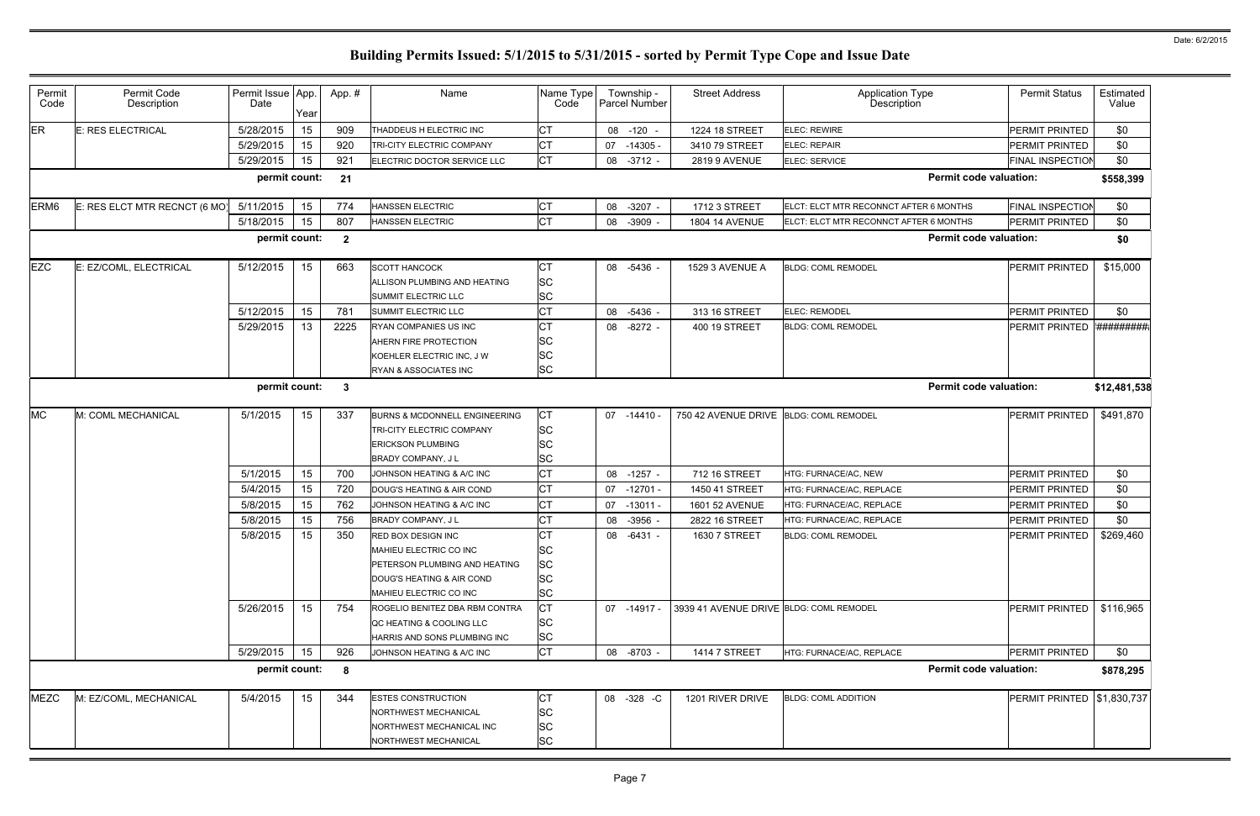| Permit<br>Code   | Permit Code<br>Description    | Permit Issue App.<br>Date | Year | App.#          | Name                                                                                                                                 | Name Type<br>Code                                             | Township -<br>Parcel Number | <b>Street Address</b>                   | <b>Application Type</b><br><b>Description</b> | <b>Permit Status</b>        | Estimated<br>Value |
|------------------|-------------------------------|---------------------------|------|----------------|--------------------------------------------------------------------------------------------------------------------------------------|---------------------------------------------------------------|-----------------------------|-----------------------------------------|-----------------------------------------------|-----------------------------|--------------------|
| <b>ER</b>        | E: RES ELECTRICAL             | 5/28/2015                 | 15   | 909            | THADDEUS H ELECTRIC INC                                                                                                              | <b>CT</b>                                                     | 08 -120 -                   | 1224 18 STREET                          | ELEC: REWIRE                                  | PERMIT PRINTED              | \$0                |
|                  |                               | 5/29/2015                 | 15   | 920            | TRI-CITY ELECTRIC COMPANY                                                                                                            | <b>CT</b>                                                     | 07 -14305 -                 | 3410 79 STREET                          | ELEC: REPAIR                                  | PERMIT PRINTED              | \$0                |
|                  |                               | 5/29/2015                 | 15   | 921            | ELECTRIC DOCTOR SERVICE LLC                                                                                                          | <b>CT</b>                                                     | 08 -3712 -                  | <b>2819 9 AVENUE</b>                    | ELEC: SERVICE                                 | FINAL INSPECTION            | \$0                |
|                  |                               | permit count:             |      | 21             |                                                                                                                                      |                                                               |                             |                                         | <b>Permit code valuation:</b>                 |                             | \$558,399          |
| ERM <sub>6</sub> | E: RES ELCT MTR RECNCT (6 MO) | 5/11/2015                 | 15   | 774            | <b>HANSSEN ELECTRIC</b>                                                                                                              | <b>CT</b>                                                     | 08 -3207 -                  | 1712 3 STREET                           | ELCT: ELCT MTR RECONNCT AFTER 6 MONTHS        | <b>FINAL INSPECTION</b>     | \$0                |
|                  |                               | 5/18/2015                 | 15   | 807            | HANSSEN ELECTRIC                                                                                                                     | Iст                                                           | 08 -3909 -                  | 1804 14 AVENUE                          | ELCT: ELCT MTR RECONNCT AFTER 6 MONTHS        | PERMIT PRINTED              | \$0                |
|                  |                               | permit count:             |      | $\overline{2}$ |                                                                                                                                      |                                                               |                             |                                         | <b>Permit code valuation:</b>                 |                             | \$0                |
| <b>EZC</b>       | E: EZ/COML, ELECTRICAL        | 5/12/2015                 | 15   | 663            | <b>SCOTT HANCOCK</b><br>ALLISON PLUMBING AND HEATING<br>SUMMIT ELECTRIC LLC                                                          | <b>CT</b><br><b>SC</b><br><b>SC</b>                           | 08 -5436 -                  | 1529 3 AVENUE A                         | <b>BLDG: COML REMODEL</b>                     | PERMIT PRINTED              | \$15,000           |
|                  |                               | 5/12/2015                 | 15   | 781            | SUMMIT ELECTRIC LLC                                                                                                                  | <b>CT</b>                                                     | 08 -5436 -                  | 313 16 STREET                           | ELEC: REMODEL                                 | <b>PERMIT PRINTED</b>       | \$0                |
|                  |                               | 5/29/2015                 | 13   | 2225           | <b>RYAN COMPANIES US INC</b><br>AHERN FIRE PROTECTION<br>KOEHLER ELECTRIC INC, J W<br>RYAN & ASSOCIATES INC                          | Iст<br><b>SC</b><br><b>SC</b><br><b>SC</b>                    | 08 -8272 -                  | 400 19 STREET                           | <b>BLDG: COML REMODEL</b>                     | PERMIT PRINTED              | *##########        |
|                  |                               | permit count:             |      | $\mathbf{3}$   |                                                                                                                                      |                                                               |                             |                                         | <b>Permit code valuation:</b>                 |                             | \$12,481,538       |
| <b>MC</b>        | M: COML MECHANICAL            | 5/1/2015                  | 15   | 337            | <b>BURNS &amp; MCDONNELL ENGINEERING</b><br>TRI-CITY ELECTRIC COMPANY<br><b>ERICKSON PLUMBING</b><br><b>BRADY COMPANY, JL</b>        | <b>CT</b><br><b>SC</b><br><b>SC</b><br><b>SC</b>              | $07 - 14410 -$              | 750 42 AVENUE DRIVE BLDG: COML REMODEL  |                                               | <b>PERMIT PRINTED</b>       | \$491,870          |
|                  |                               | 5/1/2015                  | 15   | 700            | JOHNSON HEATING & A/C INC                                                                                                            | Iст                                                           | 08<br>$-1257 -$             | 712 16 STREET                           | HTG: FURNACE/AC, NEW                          | PERMIT PRINTED              | \$0                |
|                  |                               | 5/4/2015                  | 15   | 720            | DOUG'S HEATING & AIR COND                                                                                                            | <b>CT</b>                                                     | $-12701$<br>07              | 1450 41 STREET                          | HTG: FURNACE/AC, REPLACE                      | PERMIT PRINTED              | \$0                |
|                  |                               | 5/8/2015                  | 15   | 762            | JOHNSON HEATING & A/C INC                                                                                                            | <b>CT</b>                                                     | 07<br>$-13011 -$            | 1601 52 AVENUE                          | HTG: FURNACE/AC, REPLACE                      | PERMIT PRINTED              | \$0                |
|                  |                               | 5/8/2015                  | 15   | 756            | BRADY COMPANY, J L                                                                                                                   | <b>CT</b>                                                     | $-3956$ -<br>08             | 2822 16 STREET                          | HTG: FURNACE/AC, REPLACE                      | PERMIT PRINTED              | \$0                |
|                  |                               | 5/8/2015                  | 15   | 350            | RED BOX DESIGN INC<br>MAHIEU ELECTRIC CO INC<br>PETERSON PLUMBING AND HEATING<br>DOUG'S HEATING & AIR COND<br>MAHIEU ELECTRIC CO INC | <b>CT</b><br><b>SC</b><br><b>SC</b><br><b>SC</b><br><b>SC</b> | $-6431 -$<br>08             | 1630 7 STREET                           | <b>BLDG: COML REMODEL</b>                     | PERMIT PRINTED              | \$269,460          |
|                  |                               | 5/26/2015                 | 15   | 754            | ROGELIO BENITEZ DBA RBM CONTRA<br>QC HEATING & COOLING LLC<br>HARRIS AND SONS PLUMBING INC                                           | <b>CT</b><br><b>SC</b><br><b>SC</b>                           | 07 -14917 -                 | 3939 41 AVENUE DRIVE BLDG: COML REMODEL |                                               | PERMIT PRINTED              | \$116,965          |
|                  |                               | 5/29/2015                 | 15   | 926            | JOHNSON HEATING & A/C INC                                                                                                            | Iст                                                           | 08 -8703 -                  | <b>1414 7 STREET</b>                    | HTG: FURNACE/AC, REPLACE                      | PERMIT PRINTED              | \$0                |
|                  |                               | permit count:             |      | 8              |                                                                                                                                      |                                                               |                             |                                         | <b>Permit code valuation:</b>                 |                             | \$878,295          |
| <b>MEZC</b>      | M: EZ/COML, MECHANICAL        | 5/4/2015                  | 15   | 344            | <b>ESTES CONSTRUCTION</b><br>NORTHWEST MECHANICAL<br>NORTHWEST MECHANICAL INC<br>NORTHWEST MECHANICAL                                | <b>CT</b><br><b>SC</b><br><b>SC</b><br><b>SC</b>              | 08 -328 -C                  | 1201 RIVER DRIVE                        | <b>BLDG: COML ADDITION</b>                    | PERMIT PRINTED \\$1,830,737 |                    |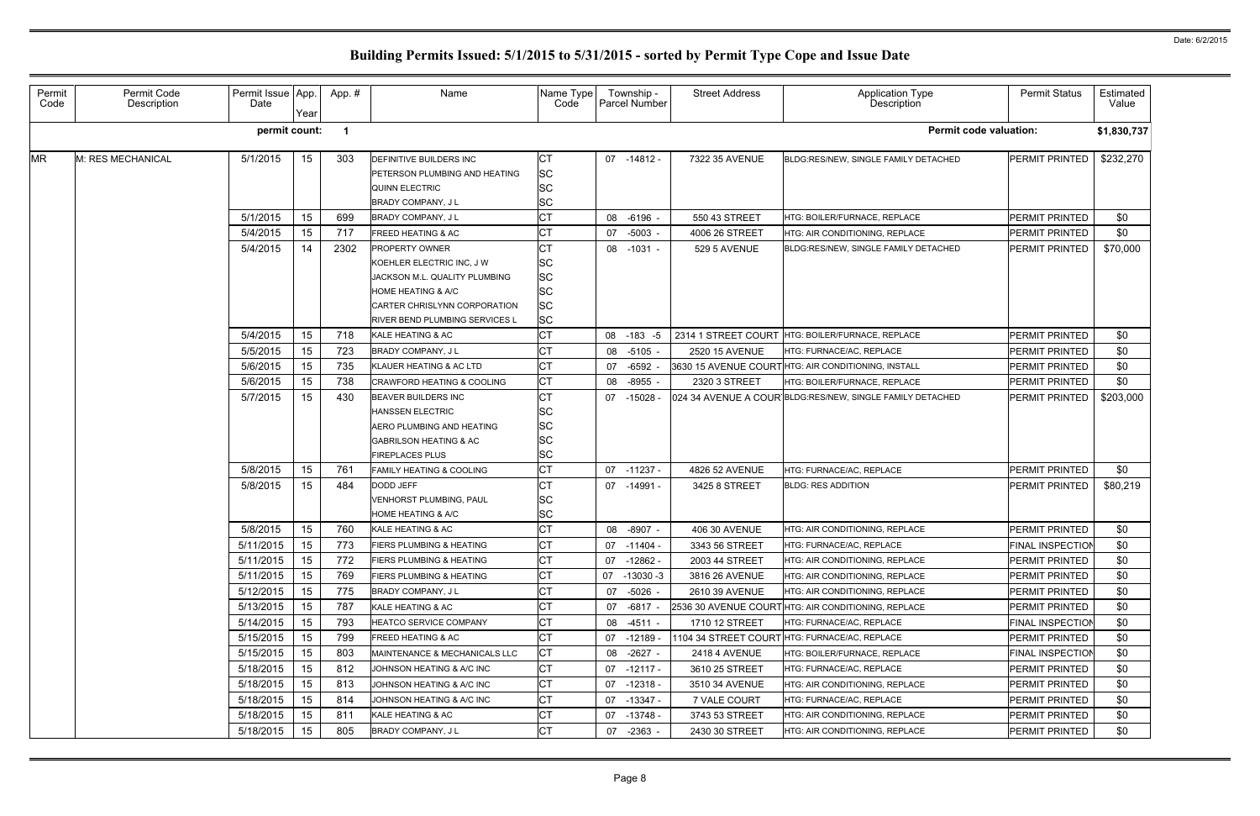| Permit<br>Code | Permit Code<br>Description | Permit Issue App.<br>Date | Year | App.# | Name                                                                                                                                                                        | Name Type<br>Code                                                          |    | Township -<br>Parcel Number | <b>Street Address</b> | <b>Application Type</b><br>Description                    | <b>Permit Status</b>    | Estimated<br>Value |
|----------------|----------------------------|---------------------------|------|-------|-----------------------------------------------------------------------------------------------------------------------------------------------------------------------------|----------------------------------------------------------------------------|----|-----------------------------|-----------------------|-----------------------------------------------------------|-------------------------|--------------------|
|                |                            | permit count:             |      |       |                                                                                                                                                                             |                                                                            |    |                             |                       | <b>Permit code valuation:</b>                             |                         | \$1,830,737        |
| <b>MR</b>      | M: RES MECHANICAL          | 5/1/2015                  | 15   | 303   | <b>DEFINITIVE BUILDERS INC</b><br>PETERSON PLUMBING AND HEATING<br><b>QUINN ELECTRIC</b><br><b>BRADY COMPANY, JL</b>                                                        | <b>CT</b><br><b>SC</b><br><b>SC</b><br><b>SC</b>                           |    | 07 -14812 -                 | 7322 35 AVENUE        | BLDG:RES/NEW, SINGLE FAMILY DETACHED                      | PERMIT PRINTED          | \$232,270          |
|                |                            | 5/1/2015                  | 15   | 699   | BRADY COMPANY, J L                                                                                                                                                          | <b>CT</b>                                                                  | 08 | $-6196 -$                   | 550 43 STREET         | HTG: BOILER/FURNACE, REPLACE                              | PERMIT PRINTED          | \$0                |
|                |                            | 5/4/2015                  | 15   | 717   | <b>FREED HEATING &amp; AC</b>                                                                                                                                               | <b>CT</b>                                                                  |    | 07 -5003 -                  | 4006 26 STREET        | HTG: AIR CONDITIONING, REPLACE                            | PERMIT PRINTED          | \$0                |
|                |                            | 5/4/2015                  | 14   | 2302  | PROPERTY OWNER<br>KOEHLER ELECTRIC INC, J W<br>JACKSON M.L. QUALITY PLUMBING<br>HOME HEATING & A/C<br>CARTER CHRISLYNN CORPORATION<br><b>RIVER BEND PLUMBING SERVICES L</b> | <b>CT</b><br><b>SC</b><br><b>SC</b><br><b>SC</b><br><b>SC</b><br><b>SC</b> |    | 08 -1031 -                  | 529 5 AVENUE          | BLDG:RES/NEW, SINGLE FAMILY DETACHED                      | PERMIT PRINTED          | \$70,000           |
|                |                            | 5/4/2015                  | 15   | 718   | KALE HEATING & AC                                                                                                                                                           | Iст                                                                        | 08 | $-183 - 5$                  |                       | 2314 1 STREET COURT HTG: BOILER/FURNACE, REPLACE          | PERMIT PRINTED          | \$0                |
|                |                            | 5/5/2015                  | 15   | 723   | BRADY COMPANY, J L                                                                                                                                                          | <b>CT</b>                                                                  | 08 | $-5105 -$                   | 2520 15 AVENUE        | HTG: FURNACE/AC, REPLACE                                  | PERMIT PRINTED          | \$0                |
|                |                            | 5/6/2015                  | 15   | 735   | KLAUER HEATING & AC LTD                                                                                                                                                     | Iст                                                                        | 07 | $-6592$ -                   |                       | 3630 15 AVENUE COURTHTG: AIR CONDITIONING, INSTALL        | <b>PERMIT PRINTED</b>   | \$0                |
|                |                            | 5/6/2015                  | 15   | 738   | <b>CRAWFORD HEATING &amp; COOLING</b>                                                                                                                                       | <b>CT</b>                                                                  | 08 | $-8955 -$                   | 2320 3 STREET         | HTG: BOILER/FURNACE, REPLACE                              | PERMIT PRINTED          | \$0                |
|                |                            | 5/7/2015                  | 15   | 430   | BEAVER BUILDERS INC<br><b>HANSSEN ELECTRIC</b><br>AERO PLUMBING AND HEATING<br><b>GABRILSON HEATING &amp; AC</b><br><b>FIREPLACES PLUS</b>                                  | <b>CT</b><br><b>SC</b><br><b>SC</b><br><b>SC</b><br><b>SC</b>              |    | 07 -15028 -                 |                       | 024 34 AVENUE A COUR BLDG:RES/NEW, SINGLE FAMILY DETACHED | PERMIT PRINTED          | \$203,000          |
|                |                            | 5/8/2015                  | 15   | 761   | <b>FAMILY HEATING &amp; COOLING</b>                                                                                                                                         | <b>CT</b>                                                                  |    | 07 -11237 -                 | 4826 52 AVENUE        | HTG: FURNACE/AC, REPLACE                                  | PERMIT PRINTED          | \$0                |
|                |                            | 5/8/2015                  | 15   | 484   | DODD JEFF<br><b>VENHORST PLUMBING, PAUL</b><br><b>HOME HEATING &amp; A/C</b>                                                                                                | Iст<br><b>SC</b><br><b>SC</b>                                              |    | 07 -14991 -                 | 3425 8 STREET         | <b>BLDG: RES ADDITION</b>                                 | PERMIT PRINTED          | \$80,219           |
|                |                            | 5/8/2015                  | 15   | 760   | KALE HEATING & AC                                                                                                                                                           | <b>CT</b>                                                                  |    | 08 -8907 -                  | 406 30 AVENUE         | HTG: AIR CONDITIONING, REPLACE                            | PERMIT PRINTED          | \$0                |
|                |                            | 5/11/2015                 | 15   | 773   | FIERS PLUMBING & HEATING                                                                                                                                                    | <b>CT</b>                                                                  |    | 07 -11404 -                 | 3343 56 STREET        | HTG: FURNACE/AC, REPLACE                                  | FINAL INSPECTION        | \$0                |
|                |                            | 5/11/2015                 | 15   | 772   | <b>FIERS PLUMBING &amp; HEATING</b>                                                                                                                                         | <b>CT</b>                                                                  |    | 07 -12862 -                 | 2003 44 STREET        | <b>HTG: AIR CONDITIONING, REPLACE</b>                     | PERMIT PRINTED          | \$0                |
|                |                            | 5/11/2015                 | 15   | 769   | <b>FIERS PLUMBING &amp; HEATING</b>                                                                                                                                         | <b>CT</b>                                                                  |    | 07 -13030 -3                | 3816 26 AVENUE        | HTG: AIR CONDITIONING, REPLACE                            | PERMIT PRINTED          | \$0                |
|                |                            | 5/12/2015                 | 15   | 775   | <b>BRADY COMPANY, JL</b>                                                                                                                                                    | <b>CT</b>                                                                  |    | 07 -5026 -                  | 2610 39 AVENUE        | HTG: AIR CONDITIONING, REPLACE                            | PERMIT PRINTED          | \$0                |
|                |                            | 5/13/2015                 | 15   | 787   | KALE HEATING & AC                                                                                                                                                           | <b>CT</b>                                                                  |    | 07 -6817 -                  |                       | 2536 30 AVENUE COURTHTG: AIR CONDITIONING, REPLACE        | PERMIT PRINTED          | \$0                |
|                |                            | 5/14/2015                 | 15   | 793   | <b>HEATCO SERVICE COMPANY</b>                                                                                                                                               | <b>CT</b>                                                                  |    | 08 -4511 -                  | 1710 12 STREET        | HTG: FURNACE/AC, REPLACE                                  | <b>FINAL INSPECTION</b> | \$0                |
|                |                            | 5/15/2015                 | 15   | 799   | <b>FREED HEATING &amp; AC</b>                                                                                                                                               | <b>CT</b>                                                                  |    | 07 -12189 -                 |                       | 1104 34 STREET COURT HTG: FURNACE/AC, REPLACE             | PERMIT PRINTED          | \$0                |
|                |                            | 5/15/2015                 | 15   | 803   | MAINTENANCE & MECHANICALS LLC                                                                                                                                               | <b>CT</b>                                                                  |    | 08 -2627 -                  | <b>2418 4 AVENUE</b>  | HTG: BOILER/FURNACE, REPLACE                              | <b>FINAL INSPECTION</b> | \$0                |
|                |                            | 5/18/2015                 | 15   | 812   | JOHNSON HEATING & A/C INC                                                                                                                                                   | <b>CT</b>                                                                  |    | $07 - 12117 -$              | 3610 25 STREET        | HTG: FURNACE/AC, REPLACE                                  | PERMIT PRINTED          | \$0                |
|                |                            | 5/18/2015                 | 15   | 813   | JOHNSON HEATING & A/C INC                                                                                                                                                   | <b>CT</b>                                                                  |    | 07 -12318 -                 | 3510 34 AVENUE        | HTG: AIR CONDITIONING, REPLACE                            | PERMIT PRINTED          | \$0                |
|                |                            | 5/18/2015                 | 15   | 814   | JOHNSON HEATING & A/C INC                                                                                                                                                   | Iст                                                                        |    | 07 -13347 -                 | 7 VALE COURT          | HTG: FURNACE/AC, REPLACE                                  | <b>PERMIT PRINTED</b>   | \$0                |
|                |                            | 5/18/2015                 | 15   | 811   | KALE HEATING & AC                                                                                                                                                           | <b>CT</b>                                                                  |    | 07 -13748 -                 | 3743 53 STREET        | HTG: AIR CONDITIONING, REPLACE                            | <b>PERMIT PRINTED</b>   | \$0                |
|                |                            | 5/18/2015                 | 15   | 805   | BRADY COMPANY, J L                                                                                                                                                          | <b>CT</b>                                                                  | 07 | $-2363 -$                   | 2430 30 STREET        | HTG: AIR CONDITIONING, REPLACE                            | <b>PERMIT PRINTED</b>   | \$0                |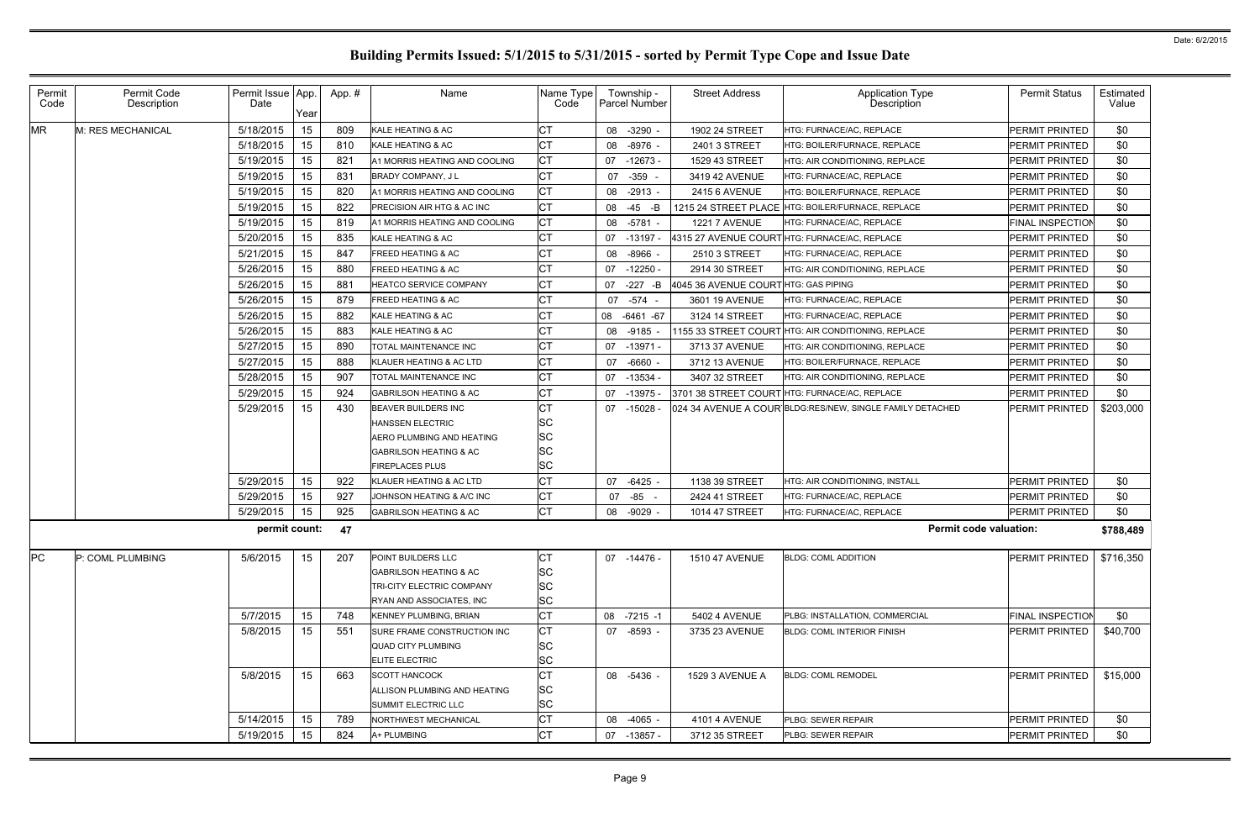| Permit<br>Code | Permit Code<br>Description | Permit Issue   App.<br>Date | Year | App.# | Name                              | Name Type<br>Code |    | Township -<br>Parcel Number | <b>Street Address</b>                | Application Type<br>Description                           | <b>Permit Status</b>    | Estimated<br>Value |
|----------------|----------------------------|-----------------------------|------|-------|-----------------------------------|-------------------|----|-----------------------------|--------------------------------------|-----------------------------------------------------------|-------------------------|--------------------|
| <b>MR</b>      | M: RES MECHANICAL          | 5/18/2015                   | 15   | 809   | KALE HEATING & AC                 | CT                |    | 08 -3290                    | 1902 24 STREET                       | HTG: FURNACE/AC, REPLACE                                  | <b>PERMIT PRINTED</b>   | \$0                |
|                |                            | 5/18/2015                   | 15   | 810   | KALE HEATING & AC                 | <b>CT</b>         |    | 08 -8976                    | 2401 3 STREET                        | HTG: BOILER/FURNACE, REPLACE                              | <b>PERMIT PRINTED</b>   | \$0                |
|                |                            | 5/19/2015                   | 15   | 821   | A1 MORRIS HEATING AND COOLING     | <b>CT</b>         |    | $07 - 12673$                | 1529 43 STREET                       | HTG: AIR CONDITIONING, REPLACE                            | <b>PERMIT PRINTED</b>   | \$0                |
|                |                            | 5/19/2015                   | 15   | 831   | <b>BRADY COMPANY, JL</b>          | <b>CT</b>         | 07 | $-359 -$                    | 3419 42 AVENUE                       | HTG: FURNACE/AC, REPLACE                                  | <b>PERMIT PRINTED</b>   | \$0                |
|                |                            | 5/19/2015                   | 15   | 820   | A1 MORRIS HEATING AND COOLING     | <b>CT</b>         |    | 08 -2913 -                  | 2415 6 AVENUE                        | HTG: BOILER/FURNACE, REPLACE                              | <b>PERMIT PRINTED</b>   | \$0                |
|                |                            | 5/19/2015                   | 15   | 822   | PRECISION AIR HTG & AC INC        | <b>CT</b>         |    | 08 -45 -B                   |                                      | 1215 24 STREET PLACE HTG: BOILER/FURNACE, REPLACE         | <b>PERMIT PRINTED</b>   | \$0                |
|                |                            | 5/19/2015                   | 15   | 819   | A1 MORRIS HEATING AND COOLING     | <b>CT</b>         |    | 08 -5781 -                  | <b>1221 7 AVENUE</b>                 | HTG: FURNACE/AC, REPLACE                                  | <b>FINAL INSPECTION</b> | \$0                |
|                |                            | 5/20/2015                   | 15   | 835   | KALE HEATING & AC                 | СT                |    | 07 -13197 -                 |                                      | 4315 27 AVENUE COURTHTG: FURNACE/AC, REPLACE              | <b>PERMIT PRINTED</b>   | \$0                |
|                |                            | 5/21/2015                   | 15   | 847   | <b>FREED HEATING &amp; AC</b>     | <b>CT</b>         |    | 08 -8966 -                  | 2510 3 STREET                        | HTG: FURNACE/AC, REPLACE                                  | <b>PERMIT PRINTED</b>   | \$0                |
|                |                            | 5/26/2015                   | 15   | 880   | <b>FREED HEATING &amp; AC</b>     | <b>CT</b>         |    | $07 - 12250$                | 2914 30 STREET                       | HTG: AIR CONDITIONING, REPLACE                            | <b>PERMIT PRINTED</b>   | \$0                |
|                |                            | 5/26/2015                   | 15   | 881   | <b>HEATCO SERVICE COMPANY</b>     | <b>CT</b>         |    | 07 -227 -B                  | 4045 36 AVENUE COURT HTG: GAS PIPING |                                                           | <b>PERMIT PRINTED</b>   | \$0                |
|                |                            | 5/26/2015                   | 15   | 879   | <b>FREED HEATING &amp; AC</b>     | <b>CT</b>         |    | 07 - 574 -                  | 3601 19 AVENUE                       | HTG: FURNACE/AC, REPLACE                                  | <b>PERMIT PRINTED</b>   | \$0                |
|                |                            | 5/26/2015                   | 15   | 882   | KALE HEATING & AC                 | СT                |    | 08 -6461 -67                | 3124 14 STREET                       | HTG: FURNACE/AC, REPLACE                                  | <b>PERMIT PRINTED</b>   | \$0                |
|                |                            | 5/26/2015                   | 15   | 883   | KALE HEATING & AC                 | <b>CT</b>         |    | 08 -9185                    |                                      | 1155 33 STREET COURT HTG: AIR CONDITIONING, REPLACE       | <b>PERMIT PRINTED</b>   | \$0                |
|                |                            | 5/27/2015                   | 15   | 890   | TOTAL MAINTENANCE INC             | <b>CT</b>         |    | 07 -13971 -                 | 3713 37 AVENUE                       | HTG: AIR CONDITIONING, REPLACE                            | <b>PERMIT PRINTED</b>   | \$0                |
|                |                            | 5/27/2015                   | 15   | 888   | KLAUER HEATING & AC LTD           | <b>CT</b>         |    | 07 -6660 -                  | 3712 13 AVENUE                       | HTG: BOILER/FURNACE, REPLACE                              | <b>PERMIT PRINTED</b>   | \$0                |
|                |                            | 5/28/2015                   | 15   | 907   | TOTAL MAINTENANCE INC             | СT                |    | 07 -13534 -                 | 3407 32 STREET                       | HTG: AIR CONDITIONING, REPLACE                            | <b>PERMIT PRINTED</b>   | \$0                |
|                |                            | 5/29/2015                   | 15   | 924   | <b>GABRILSON HEATING &amp; AC</b> | <b>CT</b>         |    | 07 -13975 -                 |                                      | 3701 38 STREET COURT HTG: FURNACE/AC, REPLACE             | <b>PERMIT PRINTED</b>   | \$0                |
|                |                            | 5/29/2015                   | 15   | 430   | BEAVER BUILDERS INC               | <b>CT</b>         |    | $07 - 15028$                |                                      | 024 34 AVENUE A COUR BLDG:RES/NEW, SINGLE FAMILY DETACHED | <b>PERMIT PRINTED</b>   | \$203,000          |
|                |                            |                             |      |       | <b>HANSSEN ELECTRIC</b>           | <b>SC</b>         |    |                             |                                      |                                                           |                         |                    |
|                |                            |                             |      |       | AERO PLUMBING AND HEATING         | <b>SC</b>         |    |                             |                                      |                                                           |                         |                    |
|                |                            |                             |      |       | GABRILSON HEATING & AC            | <b>SC</b>         |    |                             |                                      |                                                           |                         |                    |
|                |                            |                             |      |       | <b>FIREPLACES PLUS</b>            | <b>SC</b>         |    |                             |                                      |                                                           |                         |                    |
|                |                            | 5/29/2015                   | 15   | 922   | KLAUER HEATING & AC LTD           | <b>CT</b>         |    | 07 -6425                    | 1138 39 STREET                       | HTG: AIR CONDITIONING, INSTALL                            | <b>PERMIT PRINTED</b>   | \$0                |
|                |                            | 5/29/2015                   | 15   | 927   | JOHNSON HEATING & A/C INC         | <b>CT</b>         | 07 | -85 -                       | 2424 41 STREET                       | HTG: FURNACE/AC, REPLACE                                  | <b>PERMIT PRINTED</b>   | \$0                |
|                |                            | 5/29/2015                   | 15   | 925   | <b>GABRILSON HEATING &amp; AC</b> | <b>CT</b>         |    | 08 -9029 -                  | 1014 47 STREET                       | HTG: FURNACE/AC, REPLACE                                  | <b>PERMIT PRINTED</b>   | \$0                |
|                |                            | permit count:               |      | 47    |                                   |                   |    |                             |                                      | <b>Permit code valuation:</b>                             |                         | \$788,489          |
| PC             | P: COML PLUMBING           | 5/6/2015                    | 15   | 207   | POINT BUILDERS LLC                | <b>CT</b>         |    | 07 -14476 -                 | <b>1510 47 AVENUE</b>                | <b>BLDG: COML ADDITION</b>                                | <b>PERMIT PRINTED</b>   | \$716,350          |
|                |                            |                             |      |       | <b>GABRILSON HEATING &amp; AC</b> | <b>SC</b>         |    |                             |                                      |                                                           |                         |                    |
|                |                            |                             |      |       | TRI-CITY ELECTRIC COMPANY         | <b>SC</b>         |    |                             |                                      |                                                           |                         |                    |
|                |                            |                             |      |       | RYAN AND ASSOCIATES, INC          | <b>SC</b>         |    |                             |                                      |                                                           |                         |                    |
|                |                            | 5/7/2015                    | 15   | 748   | <b>KENNEY PLUMBING, BRIAN</b>     | <b>CT</b>         |    | 08 -7215 -1                 | 5402 4 AVENUE                        | PLBG: INSTALLATION, COMMERCIAL                            | <b>FINAL INSPECTION</b> | \$0                |
|                |                            | 5/8/2015                    | 15   | 551   | SURE FRAME CONSTRUCTION INC       | IСТ               |    | 07 -8593 -                  | 3735 23 AVENUE                       | <b>BLDG: COML INTERIOR FINISH</b>                         | <b>PERMIT PRINTED</b>   | \$40,700           |
|                |                            |                             |      |       | QUAD CITY PLUMBING                | <b>SC</b>         |    |                             |                                      |                                                           |                         |                    |
|                |                            |                             |      |       | ELITE ELECTRIC                    | <b>SC</b>         |    |                             |                                      |                                                           |                         |                    |
|                |                            | 5/8/2015                    | 15   | 663   | <b>SCOTT HANCOCK</b>              | <b>CT</b>         |    | 08 -5436 -                  | 1529 3 AVENUE A                      | <b>BLDG: COML REMODEL</b>                                 | PERMIT PRINTED          | \$15,000           |
|                |                            |                             |      |       | ALLISON PLUMBING AND HEATING      | <b>SC</b>         |    |                             |                                      |                                                           |                         |                    |
|                |                            |                             |      |       | SUMMIT ELECTRIC LLC               | <b>SC</b>         |    |                             |                                      |                                                           |                         |                    |
|                |                            | 5/14/2015                   | 15   | 789   | NORTHWEST MECHANICAL              | <b>CT</b>         |    | 08 -4065 -                  | 4101 4 AVENUE                        | PLBG: SEWER REPAIR                                        | PERMIT PRINTED          | \$0                |
|                |                            | 5/19/2015                   | 15   | 824   | A+ PLUMBING                       | Iст               |    | 07 -13857 -                 | 3712 35 STREET                       | <b>PLBG: SEWER REPAIR</b>                                 | <b>PERMIT PRINTED</b>   | \$0                |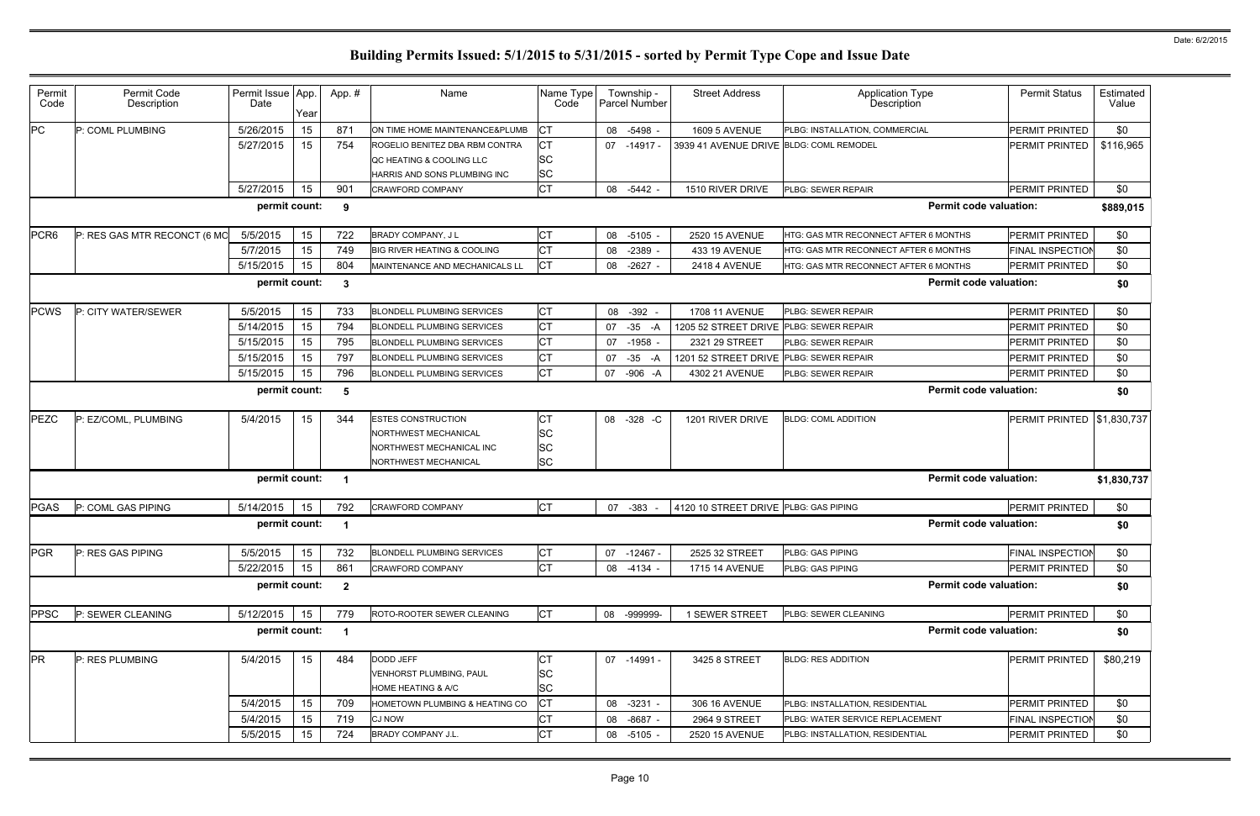| Permit           | Permit Code                  | Permit Issue App. |      | App.#                   | Name                                   | Name Type |    | Township -    | <b>Street Address</b>                   | <b>Application Type</b>               | <b>Permit Status</b>                | Estimated   |
|------------------|------------------------------|-------------------|------|-------------------------|----------------------------------------|-----------|----|---------------|-----------------------------------------|---------------------------------------|-------------------------------------|-------------|
| Code             | Description                  | Date              | Year |                         |                                        | Code      |    | Parcel Number |                                         | Description                           |                                     | Value       |
| PC               | P: COML PLUMBING             | 5/26/2015         | 15   | 871                     | ON TIME HOME MAINTENANCE&PLUMB         | <b>CT</b> |    | 08 -5498 -    | <b>1609 5 AVENUE</b>                    | PLBG: INSTALLATION, COMMERCIAL        | PERMIT PRINTED                      | \$0         |
|                  |                              | 5/27/2015         | 15   | 754                     | ROGELIO BENITEZ DBA RBM CONTRA         | <b>CT</b> |    | 07 -14917 -   | 3939 41 AVENUE DRIVE BLDG: COML REMODEL |                                       | PERMIT PRINTED                      | \$116,965   |
|                  |                              |                   |      |                         | QC HEATING & COOLING LLC               | <b>SC</b> |    |               |                                         |                                       |                                     |             |
|                  |                              |                   |      |                         | HARRIS AND SONS PLUMBING INC           | <b>SC</b> |    |               |                                         |                                       |                                     |             |
|                  |                              | 5/27/2015         | 15   | 901                     | <b>CRAWFORD COMPANY</b>                | <b>CT</b> | 08 | -5442 -       | 1510 RIVER DRIVE                        | PLBG: SEWER REPAIR                    | PERMIT PRINTED                      | \$0         |
|                  |                              | permit count:     |      | 9                       |                                        |           |    |               |                                         | <b>Permit code valuation:</b>         |                                     | \$889,015   |
| PCR <sub>6</sub> | P: RES GAS MTR RECONCT (6 MO | 5/5/2015          | 15   | 722                     | BRADY COMPANY, J L                     | <b>CT</b> | 08 | $-5105 -$     | 2520 15 AVENUE                          | HTG: GAS MTR RECONNECT AFTER 6 MONTHS | PERMIT PRINTED                      | \$0         |
|                  |                              | 5/7/2015          | 15   | 749                     | <b>BIG RIVER HEATING &amp; COOLING</b> | <b>CT</b> | 08 | $-2389$       | 433 19 AVENUE                           | HTG: GAS MTR RECONNECT AFTER 6 MONTHS | <b>FINAL INSPECTION</b>             | \$0         |
|                  |                              | 5/15/2015         | 15   | 804                     | MAINTENANCE AND MECHANICALS LL         | <b>CT</b> |    | 08 -2627 -    | <b>2418 4 AVENUE</b>                    | HTG: GAS MTR RECONNECT AFTER 6 MONTHS | PERMIT PRINTED                      | \$0         |
|                  |                              | permit count:     |      | 3                       |                                        |           |    |               |                                         | <b>Permit code valuation:</b>         |                                     | \$0         |
| <b>PCWS</b>      | P: CITY WATER/SEWER          | 5/5/2015          | 15   | 733                     | <b>BLONDELL PLUMBING SERVICES</b>      | <b>CT</b> |    | 08 - 392 -    | 1708 11 AVENUE                          | PLBG: SEWER REPAIR                    | PERMIT PRINTED                      | \$0         |
|                  |                              | 5/14/2015         | 15   | 794                     | <b>BLONDELL PLUMBING SERVICES</b>      | <b>CT</b> | 07 | $-35$<br>-A   | 1205 52 STREET DRIVE                    | PLBG: SEWER REPAIR                    | PERMIT PRINTED                      | \$0         |
|                  |                              | 5/15/2015         | 15   | 795                     | <b>BLONDELL PLUMBING SERVICES</b>      | Iст       |    | 07 -1958      | 2321 29 STREET                          | PLBG: SEWER REPAIR                    | PERMIT PRINTED                      | \$0         |
|                  |                              | 5/15/2015         | 15   | 797                     | <b>BLONDELL PLUMBING SERVICES</b>      | <b>CT</b> | 07 | $-35$<br>-A   | 1201 52 STREET DRIVE                    | PLBG: SEWER REPAIR                    | PERMIT PRINTED                      | \$0         |
|                  |                              | 5/15/2015         | 15   | 796                     | <b>BLONDELL PLUMBING SERVICES</b>      | <b>CT</b> |    | 07 -906 -A    | 4302 21 AVENUE                          | PLBG: SEWER REPAIR                    | PERMIT PRINTED                      | \$0         |
|                  |                              | permit count:     |      | 5                       |                                        |           |    |               |                                         | <b>Permit code valuation:</b>         |                                     | \$0         |
|                  |                              |                   |      |                         |                                        |           |    |               |                                         |                                       |                                     |             |
| <b>PEZC</b>      | P: EZ/COML, PLUMBING         | 5/4/2015          | 15   | 344                     | <b>ESTES CONSTRUCTION</b>              | Iст       |    | 08 -328 -C    | 1201 RIVER DRIVE                        | <b>BLDG: COML ADDITION</b>            | <b>PERMIT PRINTED   \$1,830,737</b> |             |
|                  |                              |                   |      |                         | NORTHWEST MECHANICAL                   | <b>SC</b> |    |               |                                         |                                       |                                     |             |
|                  |                              |                   |      |                         | NORTHWEST MECHANICAL INC               | <b>SC</b> |    |               |                                         |                                       |                                     |             |
|                  |                              |                   |      |                         | NORTHWEST MECHANICAL                   | <b>SC</b> |    |               |                                         |                                       |                                     |             |
|                  |                              | permit count:     |      | -1                      |                                        |           |    |               |                                         | <b>Permit code valuation:</b>         |                                     | \$1,830,737 |
| <b>PGAS</b>      | P: COML GAS PIPING           | 5/14/2015         | 15   | 792                     | <b>CRAWFORD COMPANY</b>                | <b>CT</b> |    | 07 - 383 -    | 4120 10 STREET DRIVE PLBG: GAS PIPING   |                                       | PERMIT PRINTED                      | \$0         |
|                  |                              | permit count:     |      |                         |                                        |           |    |               |                                         | <b>Permit code valuation:</b>         |                                     | \$0         |
| <b>PGR</b>       | P: RES GAS PIPING            | 5/5/2015          | 15   | 732                     | <b>BLONDELL PLUMBING SERVICES</b>      | <b>CT</b> |    | 07 -12467 -   | 2525 32 STREET                          | PLBG: GAS PIPING                      | FINAL INSPECTION                    | \$0         |
|                  |                              | 5/22/2015         | 15   | 861                     | <b>CRAWFORD COMPANY</b>                | <b>CT</b> |    | 08 -4134 -    | 1715 14 AVENUE                          | PLBG: GAS PIPING                      | PERMIT PRINTED                      | \$0         |
|                  |                              | permit count:     |      | $\overline{2}$          |                                        |           |    |               |                                         | <b>Permit code valuation:</b>         |                                     | \$0         |
| <b>PPSC</b>      | P: SEWER CLEANING            | 5/12/2015         | 15   | 779                     | ROTO-ROOTER SEWER CLEANING             | <b>CT</b> |    | 08 -999999-   | 1 SEWER STREET                          | PLBG: SEWER CLEANING                  | PERMIT PRINTED                      | \$0         |
|                  |                              | permit count:     |      | $\overline{\mathbf{1}}$ |                                        |           |    |               |                                         | <b>Permit code valuation:</b>         |                                     | \$0         |
| PR               | P: RES PLUMBING              | 5/4/2015          | 15   | 484                     | DODD JEFF                              | IСТ       |    | 07 -14991 -   | 3425 8 STREET                           | <b>BLDG: RES ADDITION</b>             | PERMIT PRINTED                      | \$80,219    |
|                  |                              |                   |      |                         | <b>VENHORST PLUMBING, PAUL</b>         | <b>SC</b> |    |               |                                         |                                       |                                     |             |
|                  |                              |                   |      |                         | HOME HEATING & A/C                     | <b>SC</b> |    |               |                                         |                                       |                                     |             |
|                  |                              | 5/4/2015          | 15   | 709                     | HOMETOWN PLUMBING & HEATING CO         | <b>CT</b> | 08 | $-3231 -$     | 306 16 AVENUE                           | PLBG: INSTALLATION, RESIDENTIAL       | PERMIT PRINTED                      | \$0         |
|                  |                              | 5/4/2015          | 15   | 719                     | <b>CJ NOW</b>                          | <b>CT</b> |    | 08 -8687 -    | 2964 9 STREET                           | PLBG: WATER SERVICE REPLACEMENT       | FINAL INSPECTION                    | \$0         |
|                  |                              | 5/5/2015          | 15   | 724                     | BRADY COMPANY J.L.                     | Iст       |    | 08 -5105 -    | 2520 15 AVENUE                          | PLBG: INSTALLATION, RESIDENTIAL       | PERMIT PRINTED                      | \$0         |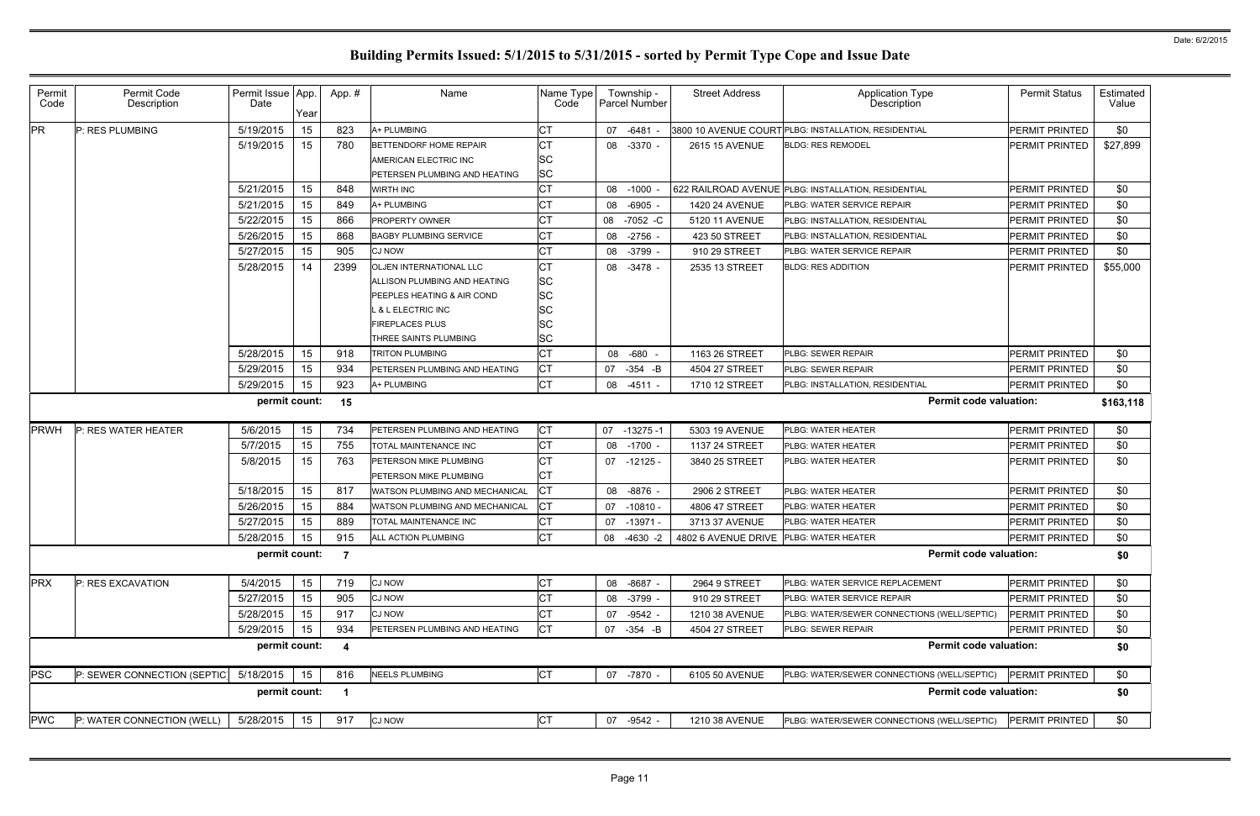| Permit<br>Code | Permit Code<br>Description   | Permit Issue App.<br>Date | Year | App.#                   | Name                           | Name Type<br>Code |    | Township -<br>Parcel Number | <b>Street Address</b>                  | <b>Application Type</b><br>Description               | <b>Permit Status</b>  | Estimated<br>Value |
|----------------|------------------------------|---------------------------|------|-------------------------|--------------------------------|-------------------|----|-----------------------------|----------------------------------------|------------------------------------------------------|-----------------------|--------------------|
| <b>PR</b>      | P: RES PLUMBING              | 5/19/2015                 | 15   | 823                     | A+ PLUMBING                    | СT                |    | 07 -6481                    |                                        | 3800 10 AVENUE COURT PLBG: INSTALLATION, RESIDENTIAL | PERMIT PRINTED        | \$0                |
|                |                              | 5/19/2015                 | 15   | 780                     | BETTENDORF HOME REPAIR         | <b>CT</b>         |    | 08 -3370 -                  | 2615 15 AVENUE                         | <b>BLDG: RES REMODEL</b>                             | PERMIT PRINTED        | \$27,899           |
|                |                              |                           |      |                         | AMERICAN ELECTRIC INC          | <b>SC</b>         |    |                             |                                        |                                                      |                       |                    |
|                |                              |                           |      |                         | PETERSEN PLUMBING AND HEATING  | <b>SC</b>         |    |                             |                                        |                                                      |                       |                    |
|                |                              | 5/21/2015                 | 15   | 848                     | <b>WIRTH INC</b>               | <b>CT</b>         |    | 08 -1000                    |                                        | 622 RAILROAD AVENUE PLBG: INSTALLATION, RESIDENTIAL  | PERMIT PRINTED        | \$0                |
|                |                              | 5/21/2015                 | 15   | 849                     | A+ PLUMBING                    | <b>CT</b>         |    | 08 -6905                    | <b>1420 24 AVENUE</b>                  | PLBG: WATER SERVICE REPAIR                           | <b>PERMIT PRINTED</b> | \$0                |
|                |                              | 5/22/2015                 | 15   | 866                     | PROPERTY OWNER                 | СT                | 08 | -7052 -C                    | 5120 11 AVENUE                         | PLBG: INSTALLATION, RESIDENTIAL                      | PERMIT PRINTED        | \$0                |
|                |                              | 5/26/2015                 | 15   | 868                     | <b>BAGBY PLUMBING SERVICE</b>  | <b>CT</b>         |    | 08 -2756 -                  | 423 50 STREET                          | PLBG: INSTALLATION, RESIDENTIAL                      | PERMIT PRINTED        | \$0                |
|                |                              | 5/27/2015                 | 15   | 905                     | <b>CJ NOW</b>                  | CT                |    | 08 -3799                    | 910 29 STREET                          | PLBG: WATER SERVICE REPAIR                           | PERMIT PRINTED        | \$0                |
|                |                              | 5/28/2015                 | 14   | 2399                    | OLJEN INTERNATIONAL LLC        | <b>CT</b>         |    | 08 -3478 -                  | 2535 13 STREET                         | <b>BLDG: RES ADDITION</b>                            | PERMIT PRINTED        | \$55,000           |
|                |                              |                           |      |                         | ALLISON PLUMBING AND HEATING   | <b>SC</b>         |    |                             |                                        |                                                      |                       |                    |
|                |                              |                           |      |                         | PEEPLES HEATING & AIR COND     | <b>SC</b>         |    |                             |                                        |                                                      |                       |                    |
|                |                              |                           |      |                         | <b>&amp; L ELECTRIC INC</b>    | SC                |    |                             |                                        |                                                      |                       |                    |
|                |                              |                           |      |                         | <b>FIREPLACES PLUS</b>         | ΙSC               |    |                             |                                        |                                                      |                       |                    |
|                |                              |                           |      |                         | THREE SAINTS PLUMBING          | <b>SC</b>         |    |                             |                                        |                                                      |                       |                    |
|                |                              | 5/28/2015                 | 15   | 918                     | <b>TRITON PLUMBING</b>         | <b>CT</b>         |    | 08 -680 -                   | 1163 26 STREET                         | <b>PLBG: SEWER REPAIR</b>                            | PERMIT PRINTED        | \$0                |
|                |                              | 5/29/2015                 | 15   | 934                     | PETERSEN PLUMBING AND HEATING  | Iст               |    | 07 -354 -B                  | 4504 27 STREET                         | <b>PLBG: SEWER REPAIR</b>                            | <b>PERMIT PRINTED</b> | \$0                |
|                |                              | 5/29/2015                 | 15   | 923                     | A+ PLUMBING                    | <b>CT</b>         |    | 08 -4511 -                  | 1710 12 STREET                         | PLBG: INSTALLATION, RESIDENTIAL                      | <b>PERMIT PRINTED</b> | \$0                |
|                |                              | permit count:             |      | 15                      |                                |                   |    |                             |                                        | <b>Permit code valuation:</b>                        |                       | \$163,118          |
| <b>PRWH</b>    | P: RES WATER HEATER          | 5/6/2015                  | 15   | 734                     | PETERSEN PLUMBING AND HEATING  | Iст               |    | 07 -13275 -1                | 5303 19 AVENUE                         | <b>PLBG: WATER HEATER</b>                            | PERMIT PRINTED        | \$0                |
|                |                              | 5/7/2015                  | 15   | 755                     | TOTAL MAINTENANCE INC          | <b>CT</b>         |    | 08 -1700 -                  | 1137 24 STREET                         | <b>PLBG: WATER HEATER</b>                            | PERMIT PRINTED        | \$0                |
|                |                              | 5/8/2015                  | 15   | 763                     | PETERSON MIKE PLUMBING         | <b>CT</b>         |    | $07 - 12125 -$              | 3840 25 STREET                         | PLBG: WATER HEATER                                   | <b>PERMIT PRINTED</b> | \$0                |
|                |                              |                           |      |                         | PETERSON MIKE PLUMBING         | СT                |    |                             |                                        |                                                      |                       |                    |
|                |                              | 5/18/2015                 | 15   | 817                     | WATSON PLUMBING AND MECHANICAL | Iст               |    | 08 -8876 -                  | 2906 2 STREET                          | PLBG: WATER HEATER                                   | PERMIT PRINTED        | \$0                |
|                |                              | 5/26/2015                 | 15   | 884                     | WATSON PLUMBING AND MECHANICAL | Iст               |    | 07 -10810 -                 | 4806 47 STREET                         | PLBG: WATER HEATER                                   | PERMIT PRINTED        | \$0                |
|                |                              | 5/27/2015                 | 15   | 889                     | TOTAL MAINTENANCE INC          | <b>CT</b>         | 07 | -13971 -                    | 3713 37 AVENUE                         | <b>PLBG: WATER HEATER</b>                            | PERMIT PRINTED        | \$0                |
|                |                              | 5/28/2015                 | 15   | 915                     | ALL ACTION PLUMBING            | <b>CT</b>         | 08 | -4630 -2                    | 4802 6 AVENUE DRIVE PLBG: WATER HEATER |                                                      | PERMIT PRINTED        | \$0                |
|                |                              | permit count:             |      | $\overline{7}$          |                                |                   |    |                             |                                        | <b>Permit code valuation:</b>                        |                       | \$0                |
| <b>PRX</b>     | P: RES EXCAVATION            | 5/4/2015                  | 15   | 719                     | <b>CJ NOW</b>                  | IСТ               |    | 08 -8687 -                  | 2964 9 STREET                          | <b>PLBG: WATER SERVICE REPLACEMENT</b>               | <b>PERMIT PRINTED</b> | \$0                |
|                |                              | 5/27/2015                 | 15   | 905                     | <b>CJ NOW</b>                  | СT                |    | 08 -3799                    | 910 29 STREET                          | PLBG: WATER SERVICE REPAIR                           | PERMIT PRINTED        | \$0                |
|                |                              | 5/28/2015                 | 15   | 917                     | <b>CJ NOW</b>                  | СT                |    | 07 -9542 -                  | 1210 38 AVENUE                         | PLBG: WATER/SEWER CONNECTIONS (WELL/SEPTIC)          | PERMIT PRINTED        | \$0                |
|                |                              | 5/29/2015                 | 15   | 934                     | PETERSEN PLUMBING AND HEATING  | Iст               |    | 07 -354 -B                  | 4504 27 STREET                         | <b>PLBG: SEWER REPAIR</b>                            | PERMIT PRINTED        | \$0                |
|                |                              | permit count:             |      | $\overline{\mathbf{4}}$ |                                |                   |    |                             |                                        | <b>Permit code valuation:</b>                        |                       | \$0                |
| <b>PSC</b>     | P: SEWER CONNECTION (SEPTIC) | 5/18/2015                 | 15   | 816                     | <b>NEELS PLUMBING</b>          | <b>CT</b>         |    | 07 -7870 -                  | 6105 50 AVENUE                         | PLBG: WATER/SEWER CONNECTIONS (WELL/SEPTIC)          | <b>PERMIT PRINTED</b> | \$0                |
|                |                              | permit count:             |      |                         |                                |                   |    |                             |                                        | <b>Permit code valuation:</b>                        |                       | \$0                |
| <b>PWC</b>     | P: WATER CONNECTION (WELL)   | 5/28/2015                 | 15   | 917                     | <b>CJ NOW</b>                  | <b>CT</b>         |    | 07 -9542 -                  | 1210 38 AVENUE                         | PLBG: WATER/SEWER CONNECTIONS (WELL/SEPTIC)          | PERMIT PRINTED        | \$0                |